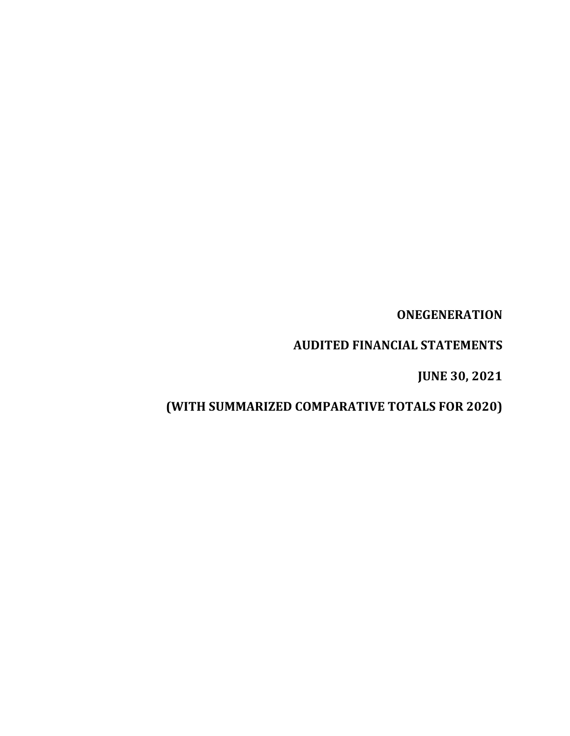**ONEGENERATION**

**AUDITED FINANCIAL STATEMENTS**

**JUNE 30, 2021**

**(WITH SUMMARIZED COMPARATIVE TOTALS FOR 2020)**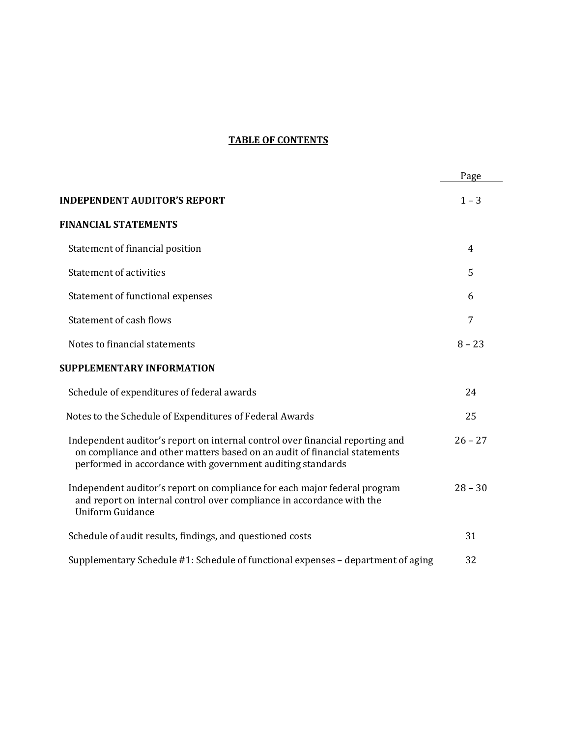# **TABLE OF CONTENTS**

|                                                                                                                                                                                                                          | Page      |
|--------------------------------------------------------------------------------------------------------------------------------------------------------------------------------------------------------------------------|-----------|
| <b>INDEPENDENT AUDITOR'S REPORT</b>                                                                                                                                                                                      | $1 - 3$   |
| <b>FINANCIAL STATEMENTS</b>                                                                                                                                                                                              |           |
| Statement of financial position                                                                                                                                                                                          | 4         |
| <b>Statement of activities</b>                                                                                                                                                                                           | 5         |
| Statement of functional expenses                                                                                                                                                                                         | 6         |
| Statement of cash flows                                                                                                                                                                                                  | 7         |
| Notes to financial statements                                                                                                                                                                                            | $8 - 23$  |
| SUPPLEMENTARY INFORMATION                                                                                                                                                                                                |           |
| Schedule of expenditures of federal awards                                                                                                                                                                               | 24        |
| Notes to the Schedule of Expenditures of Federal Awards                                                                                                                                                                  | 25        |
| Independent auditor's report on internal control over financial reporting and<br>on compliance and other matters based on an audit of financial statements<br>performed in accordance with government auditing standards | $26 - 27$ |
| Independent auditor's report on compliance for each major federal program<br>and report on internal control over compliance in accordance with the<br><b>Uniform Guidance</b>                                            | $28 - 30$ |
| Schedule of audit results, findings, and questioned costs                                                                                                                                                                | 31        |
| Supplementary Schedule #1: Schedule of functional expenses - department of aging                                                                                                                                         | 32        |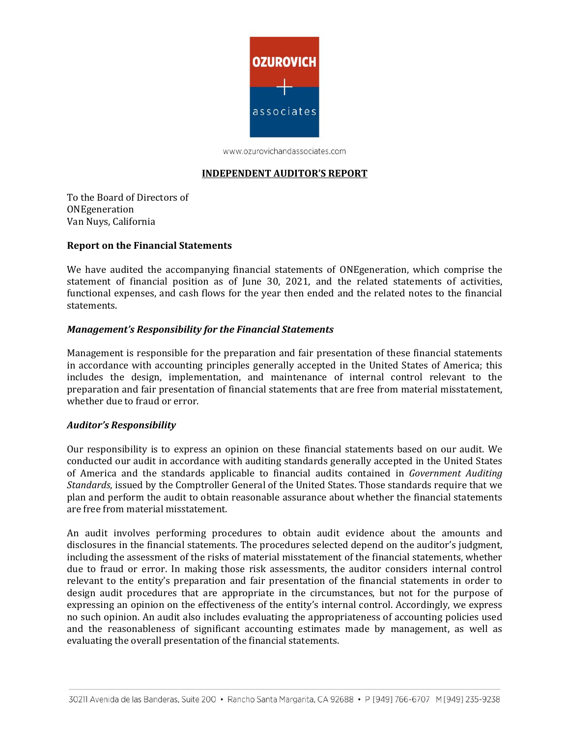

www.ozurovichandassociates.com

## **INDEPENDENT AUDITOR'S REPORT**

To the Board of Directors of **ONEgeneration** Van Nuys, California

## **Report on the Financial Statements**

We have audited the accompanying financial statements of ONEgeneration, which comprise the statement of financial position as of June 30, 2021, and the related statements of activities, functional expenses, and cash flows for the year then ended and the related notes to the financial statements.

#### *Management's Responsibility for the Financial Statements*

Management is responsible for the preparation and fair presentation of these financial statements in accordance with accounting principles generally accepted in the United States of America; this includes the design, implementation, and maintenance of internal control relevant to the preparation and fair presentation of financial statements that are free from material misstatement, whether due to fraud or error.

## *Auditor's Responsibility*

Our responsibility is to express an opinion on these financial statements based on our audit. We conducted our audit in accordance with auditing standards generally accepted in the United States of America and the standards applicable to financial audits contained in *Government Auditing Standards*, issued by the Comptroller General of the United States. Those standards require that we plan and perform the audit to obtain reasonable assurance about whether the financial statements are free from material misstatement.

An audit involves performing procedures to obtain audit evidence about the amounts and disclosures in the financial statements. The procedures selected depend on the auditor's judgment, including the assessment of the risks of material misstatement of the financial statements, whether due to fraud or error. In making those risk assessments, the auditor considers internal control relevant to the entity's preparation and fair presentation of the financial statements in order to design audit procedures that are appropriate in the circumstances, but not for the purpose of expressing an opinion on the effectiveness of the entity's internal control. Accordingly, we express no such opinion. An audit also includes evaluating the appropriateness of accounting policies used and the reasonableness of significant accounting estimates made by management, as well as evaluating the overall presentation of the financial statements.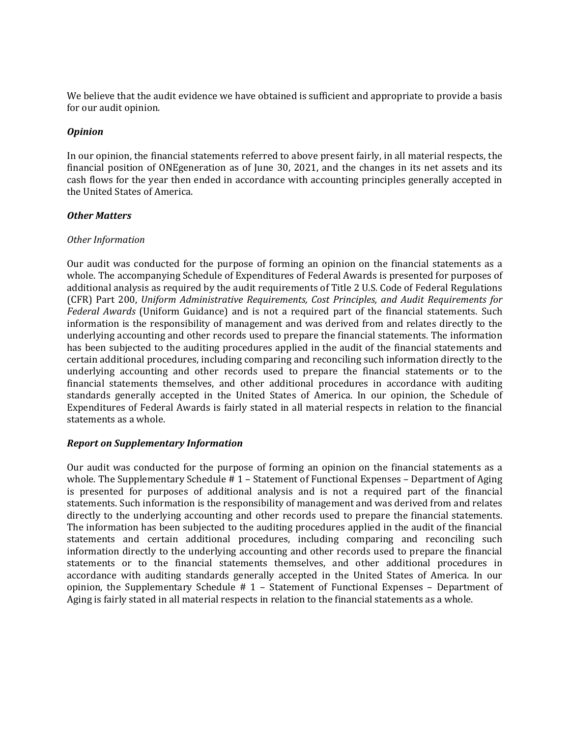We believe that the audit evidence we have obtained is sufficient and appropriate to provide a basis for our audit opinion.

## *Opinion*

In our opinion, the financial statements referred to above present fairly, in all material respects, the financial position of ONEgeneration as of June 30, 2021, and the changes in its net assets and its cash flows for the year then ended in accordance with accounting principles generally accepted in the United States of America.

## *Other Matters*

## *Other Information*

Our audit was conducted for the purpose of forming an opinion on the financial statements as a whole. The accompanying Schedule of Expenditures of Federal Awards is presented for purposes of additional analysis as required by the audit requirements of Title 2 U.S. Code of Federal Regulations (CFR) Part 200, *Uniform Administrative Requirements, Cost Principles, and Audit Requirements for Federal Awards* (Uniform Guidance) and is not a required part of the financial statements. Such information is the responsibility of management and was derived from and relates directly to the underlying accounting and other records used to prepare the financial statements. The information has been subjected to the auditing procedures applied in the audit of the financial statements and certain additional procedures, including comparing and reconciling such information directly to the underlying accounting and other records used to prepare the financial statements or to the financial statements themselves, and other additional procedures in accordance with auditing standards generally accepted in the United States of America. In our opinion, the Schedule of Expenditures of Federal Awards is fairly stated in all material respects in relation to the financial statements as a whole.

## *Report on Supplementary Information*

Our audit was conducted for the purpose of forming an opinion on the financial statements as a whole. The Supplementary Schedule # 1 – Statement of Functional Expenses – Department of Aging is presented for purposes of additional analysis and is not a required part of the financial statements. Such information is the responsibility of management and was derived from and relates directly to the underlying accounting and other records used to prepare the financial statements. The information has been subjected to the auditing procedures applied in the audit of the financial statements and certain additional procedures, including comparing and reconciling such information directly to the underlying accounting and other records used to prepare the financial statements or to the financial statements themselves, and other additional procedures in accordance with auditing standards generally accepted in the United States of America. In our opinion, the Supplementary Schedule # 1 – Statement of Functional Expenses – Department of Aging is fairly stated in all material respects in relation to the financial statements as a whole.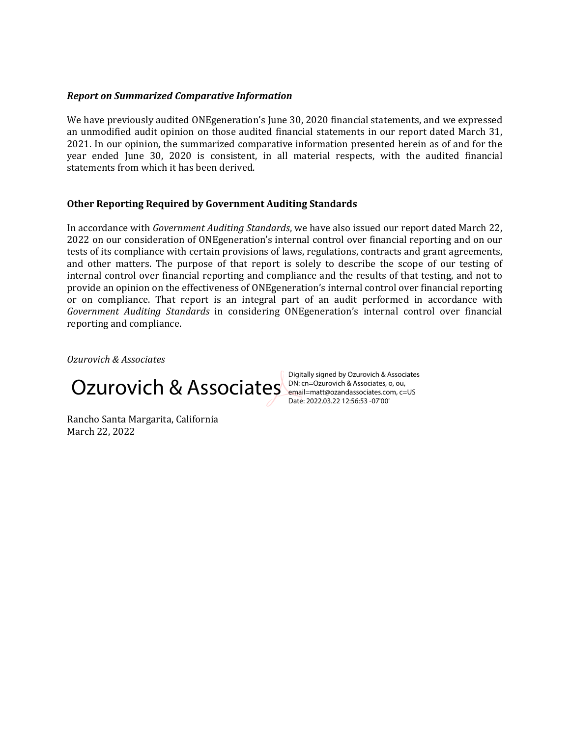## *Report on Summarized Comparative Information*

We have previously audited ONE generation's June 30, 2020 financial statements, and we expressed an unmodified audit opinion on those audited financial statements in our report dated March 31, 2021. In our opinion, the summarized comparative information presented herein as of and for the year ended June 30, 2020 is consistent, in all material respects, with the audited financial statements from which it has been derived.

## **Other Reporting Required by Government Auditing Standards**

In accordance with *Government Auditing Standards*, we have also issued our report dated March 22, 2022 on our consideration of ONEgeneration's internal control over financial reporting and on our tests of its compliance with certain provisions of laws, regulations, contracts and grant agreements, and other matters. The purpose of that report is solely to describe the scope of our testing of internal control over financial reporting and compliance and the results of that testing, and not to provide an opinion on the effectiveness of ONEgeneration's internal control over financial reporting or on compliance. That report is an integral part of an audit performed in accordance with *Government Auditing Standards* in considering ONEgeneration's internal control over financial reporting and compliance.

*Ozurovich & Associates*

Ozurovich & Associates DN: Cn=Ozurovich & Associates, o, ou,

Digitally signed by Ozurovich & Associates email=matt@ozandassociates.com, c=US Date: 2022.03.22 12:56:53 -07'00'

Rancho Santa Margarita, California March 22, 2022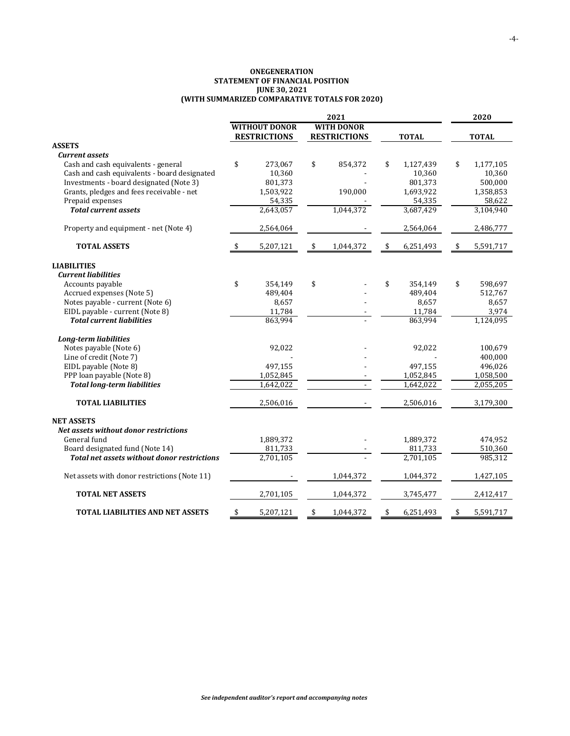#### **ONEGENERATION STATEMENT OF FINANCIAL POSITION JUNE 30, 2021 (WITH SUMMARIZED COMPARATIVE TOTALS FOR 2020)**

|                                                    |                      |           |                     | 2021              |              |           | 2020            |
|----------------------------------------------------|----------------------|-----------|---------------------|-------------------|--------------|-----------|-----------------|
|                                                    | <b>WITHOUT DONOR</b> |           |                     | <b>WITH DONOR</b> |              |           |                 |
|                                                    | <b>RESTRICTIONS</b>  |           | <b>RESTRICTIONS</b> |                   | <b>TOTAL</b> |           | <b>TOTAL</b>    |
| <b>ASSETS</b>                                      |                      |           |                     |                   |              |           |                 |
| Current assets                                     |                      |           |                     |                   |              |           |                 |
| Cash and cash equivalents - general                | \$                   | 273.067   | \$                  | 854,372           | \$           | 1,127,439 | \$<br>1,177,105 |
| Cash and cash equivalents - board designated       |                      | 10,360    |                     |                   |              | 10,360    | 10,360          |
| Investments - board designated (Note 3)            |                      | 801,373   |                     |                   |              | 801,373   | 500,000         |
| Grants, pledges and fees receivable - net          |                      | 1,503,922 |                     | 190,000           |              | 1,693,922 | 1,358,853       |
| Prepaid expenses                                   |                      | 54,335    |                     |                   |              | 54,335    | 58,622          |
| <b>Total current assets</b>                        |                      | 2,643,057 |                     | 1,044,372         |              | 3,687,429 | 3,104,940       |
| Property and equipment - net (Note 4)              |                      | 2,564,064 |                     |                   |              | 2,564,064 | 2,486,777       |
| <b>TOTAL ASSETS</b>                                | \$                   | 5,207,121 | \$                  | 1,044,372         | \$           | 6,251,493 | \$<br>5,591,717 |
| <b>LIABILITIES</b>                                 |                      |           |                     |                   |              |           |                 |
| <b>Current liabilities</b>                         |                      |           |                     |                   |              |           |                 |
| Accounts payable                                   | \$                   | 354,149   | \$                  |                   | \$           | 354,149   | \$<br>598,697   |
| Accrued expenses (Note 5)                          |                      | 489,404   |                     |                   |              | 489,404   | 512,767         |
| Notes payable - current (Note 6)                   |                      | 8,657     |                     |                   |              | 8,657     | 8,657           |
| EIDL payable - current (Note 8)                    |                      | 11,784    |                     |                   |              | 11,784    | 3,974           |
| <b>Total current liabilities</b>                   |                      | 863,994   |                     |                   |              | 863,994   | 1,124,095       |
| Long-term liabilities                              |                      |           |                     |                   |              |           |                 |
| Notes payable (Note 6)                             |                      | 92,022    |                     |                   |              | 92,022    | 100,679         |
| Line of credit (Note 7)                            |                      |           |                     |                   |              |           | 400,000         |
| EIDL payable (Note 8)                              |                      | 497,155   |                     |                   |              | 497,155   | 496,026         |
| PPP loan payable (Note 8)                          |                      | 1,052,845 |                     |                   |              | 1,052,845 | 1,058,500       |
| <b>Total long-term liabilities</b>                 |                      | 1,642,022 |                     |                   |              | 1,642,022 | 2,055,205       |
| <b>TOTAL LIABILITIES</b>                           |                      | 2,506,016 |                     |                   |              | 2,506,016 | 3,179,300       |
| <b>NET ASSETS</b>                                  |                      |           |                     |                   |              |           |                 |
| Net assets without donor restrictions              |                      |           |                     |                   |              |           |                 |
| General fund                                       |                      | 1,889,372 |                     |                   |              | 1,889,372 | 474,952         |
| Board designated fund (Note 14)                    |                      | 811,733   |                     |                   |              | 811,733   | 510,360         |
| <b>Total net assets without donor restrictions</b> |                      | 2,701,105 |                     |                   |              | 2,701,105 | 985,312         |
| Net assets with donor restrictions (Note 11)       |                      |           |                     | 1,044,372         |              | 1,044,372 | 1,427,105       |
| <b>TOTAL NET ASSETS</b>                            |                      | 2,701,105 |                     | 1,044,372         |              | 3,745,477 | 2,412,417       |
| <b>TOTAL LIABILITIES AND NET ASSETS</b>            | \$                   | 5,207,121 | \$                  | 1,044,372         | \$           | 6,251,493 | \$<br>5,591,717 |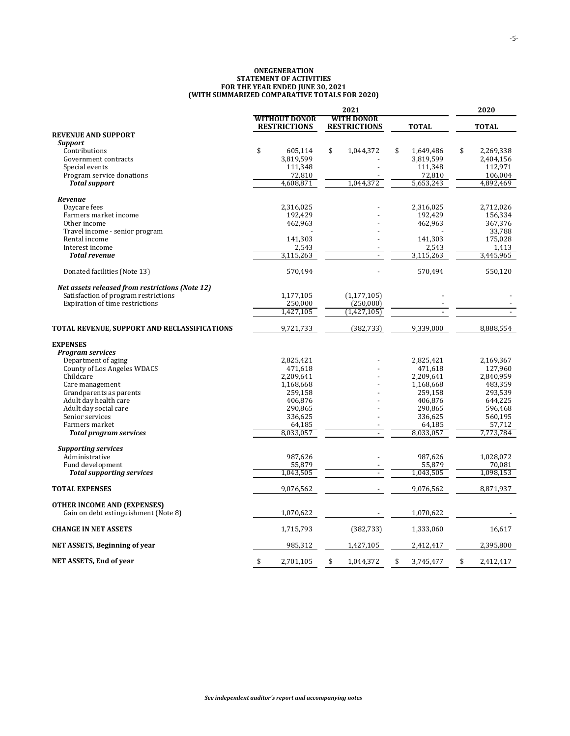#### **(WITH SUMMARIZED COMPARATIVE TOTALS FOR 2020) FOR THE YEAR ENDED JUNE 30, 2021 STATEMENT OF ACTIVITIES ONEGENERATION**

|                                                 | 2021                 |                     |    |                     |    |                     | 2020 |                     |
|-------------------------------------------------|----------------------|---------------------|----|---------------------|----|---------------------|------|---------------------|
|                                                 | <b>WITHOUT DONOR</b> |                     |    | <b>WITH DONOR</b>   |    |                     |      |                     |
|                                                 |                      | <b>RESTRICTIONS</b> |    | <b>RESTRICTIONS</b> |    | <b>TOTAL</b>        |      | <b>TOTAL</b>        |
| <b>REVENUE AND SUPPORT</b>                      |                      |                     |    |                     |    |                     |      |                     |
| <b>Support</b>                                  |                      |                     |    |                     |    |                     |      |                     |
| Contributions                                   | \$                   | 605,114             | \$ | 1,044,372           | \$ | 1,649,486           | \$   | 2,269,338           |
| Government contracts                            |                      | 3,819,599           |    |                     |    | 3,819,599           |      | 2,404,156           |
| Special events                                  |                      | 111,348             |    |                     |    | 111,348             |      | 112,971             |
| Program service donations                       |                      | 72,810              |    |                     |    | 72,810              |      | 106,004             |
| <b>Total support</b>                            |                      | 4,608,871           |    | 1,044,372           |    | 5,653,243           |      | 4,892,469           |
| Revenue                                         |                      |                     |    |                     |    |                     |      |                     |
| Daycare fees                                    |                      | 2,316,025           |    |                     |    | 2,316,025           |      | 2,712,026           |
| Farmers market income                           |                      | 192,429             |    |                     |    | 192,429             |      | 156,334             |
| Other income                                    |                      | 462,963             |    |                     |    | 462,963             |      | 367,376             |
| Travel income - senior program                  |                      |                     |    |                     |    |                     |      | 33,788              |
| Rental income                                   |                      | 141,303             |    |                     |    | 141,303             |      | 175,028             |
| Interest income                                 |                      | 2,543               |    |                     |    | 2,543               |      | 1,413               |
| <b>Total revenue</b>                            |                      | 3,115,263           |    | $\blacksquare$      |    | 3,115,263           |      | 3,445,965           |
|                                                 |                      |                     |    |                     |    |                     |      |                     |
| Donated facilities (Note 13)                    |                      | 570,494             |    |                     |    | 570,494             |      | 550,120             |
|                                                 |                      |                     |    |                     |    |                     |      |                     |
| Net assets released from restrictions (Note 12) |                      |                     |    |                     |    |                     |      |                     |
| Satisfaction of program restrictions            |                      | 1,177,105           |    | (1, 177, 105)       |    |                     |      |                     |
| Expiration of time restrictions                 |                      | 250,000             |    | (250,000)           |    |                     |      |                     |
|                                                 |                      | 1,427,105           |    | (1,427,105)         |    |                     |      |                     |
| TOTAL REVENUE, SUPPORT AND RECLASSIFICATIONS    |                      | 9,721,733           |    | (382, 733)          |    | 9,339,000           |      | 8,888,554           |
|                                                 |                      |                     |    |                     |    |                     |      |                     |
| <b>EXPENSES</b>                                 |                      |                     |    |                     |    |                     |      |                     |
| <b>Program services</b>                         |                      |                     |    |                     |    |                     |      |                     |
| Department of aging                             |                      | 2,825,421           |    |                     |    | 2,825,421           |      | 2,169,367           |
| <b>County of Los Angeles WDACS</b>              |                      | 471,618             |    |                     |    | 471,618             |      | 127,960             |
| Childcare                                       |                      | 2,209,641           |    |                     |    | 2,209,641           |      | 2,840,959           |
| Care management                                 |                      | 1,168,668           |    |                     |    | 1,168,668           |      | 483,359             |
| Grandparents as parents                         |                      | 259,158             |    |                     |    | 259,158             |      | 293,539             |
| Adult day health care                           |                      | 406,876             |    |                     |    | 406,876             |      | 644,225             |
| Adult day social care                           |                      | 290,865             |    |                     |    | 290,865             |      | 596,468             |
| Senior services                                 |                      | 336,625             |    |                     |    | 336,625             |      | 560,195             |
| Farmers market                                  |                      | 64,185              |    |                     |    | 64,185              |      | 57,712              |
| <b>Total program services</b>                   |                      | 8,033,057           |    | $\overline{a}$      |    | 8,033,057           |      | 7,773,784           |
|                                                 |                      |                     |    |                     |    |                     |      |                     |
| <b>Supporting services</b>                      |                      |                     |    |                     |    |                     |      |                     |
| Administrative                                  |                      | 987,626             |    |                     |    | 987,626             |      | 1,028,072           |
| Fund development                                |                      | 55,879<br>1,043,505 |    |                     |    | 55,879<br>1,043,505 |      | 70,081<br>1,098,153 |
| <b>Total supporting services</b>                |                      |                     |    |                     |    |                     |      |                     |
| <b>TOTAL EXPENSES</b>                           |                      | 9,076,562           |    |                     |    | 9,076,562           |      | 8,871,937           |
|                                                 |                      |                     |    |                     |    |                     |      |                     |
| <b>OTHER INCOME AND (EXPENSES)</b>              |                      |                     |    |                     |    |                     |      |                     |
| Gain on debt extinguishment (Note 8)            |                      | 1,070,622           |    |                     |    | 1,070,622           |      |                     |
| <b>CHANGE IN NET ASSETS</b>                     |                      | 1,715,793           |    | (382, 733)          |    | 1,333,060           |      | 16,617              |
|                                                 |                      |                     |    |                     |    |                     |      |                     |
| <b>NET ASSETS, Beginning of year</b>            |                      | 985,312             |    | 1,427,105           |    | 2,412,417           |      | 2,395,800           |
| <b>NET ASSETS, End of year</b>                  | \$                   | 2,701,105           | \$ | 1,044,372           | \$ | 3,745,477           | \$   | 2,412,417           |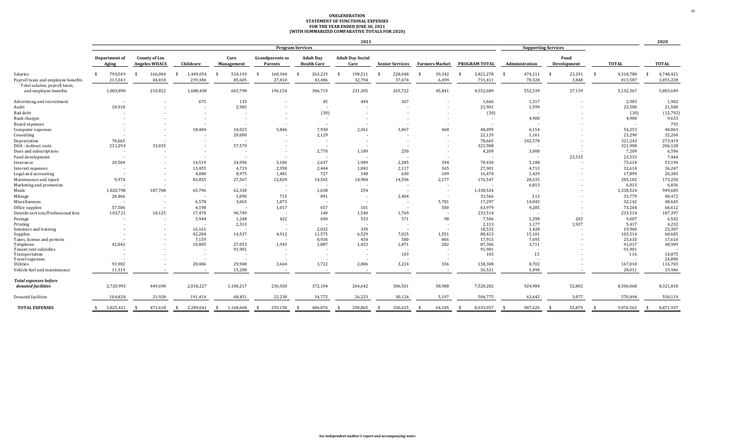#### **ONEGENERATION STATEMENT OF FUNCTIONAL EXPENSES FOR THE YEAR ENDED JUNE 30, 2021 (WITH SUMMARIZED COMPARATIVE TOTALS FOR 2020)**

**2021**

**2020**

|                                         |                                                       |      |                                              |                   |                           |        |                                          |      |                                        | 2021                            |      |                          |      |                          |      |                  |      |                       |      |                     |      |                  |      | 2020             |
|-----------------------------------------|-------------------------------------------------------|------|----------------------------------------------|-------------------|---------------------------|--------|------------------------------------------|------|----------------------------------------|---------------------------------|------|--------------------------|------|--------------------------|------|------------------|------|-----------------------|------|---------------------|------|------------------|------|------------------|
|                                         | <b>Program Services</b><br><b>Supporting Services</b> |      |                                              |                   |                           |        |                                          |      |                                        |                                 |      |                          |      |                          |      |                  |      |                       |      |                     |      |                  |      |                  |
|                                         | Department of<br>Aging                                |      | <b>County of Los</b><br><b>Angeles WDACS</b> | Childcare         | Care<br><b>Management</b> |        | <b>Grandparents as</b><br><b>Parents</b> |      | <b>Adult Day</b><br><b>Health Care</b> | <b>Adult Day Social</b><br>Care |      | <b>Senior Services</b>   |      | <b>Farmers Market</b>    |      | PROGRAM TOTAL    |      | <b>Administration</b> |      | Fund<br>Development |      | <b>TOTAL</b>     |      | <b>TOTAL</b>     |
| Salaries                                | 790,549<br>$\mathbf{\hat{s}}$                         | - \$ | 166,004                                      | 1,449,054         | 518,193<br>- \$           |        | 168,344                                  | - \$ | 263,233                                | 198,511<br>-\$                  | -\$  | 228,048                  | -\$  | 39,342                   | - \$ | 3,821,278        | - \$ | 474,211               | - \$ | 23,291              | \$   | 4,318,780        | \$   | 4,748,421        |
| Payroll taxes and employee benefits     | 213,341                                               |      | 44,818                                       | 239,384           |                           | 85,605 | 27,810                                   |      | 43,486                                 | 32,794                          |      | 37,674                   |      | 6,499                    |      | 731,411          |      | 78,328                |      | 3,848               |      | 813,587          |      | 1,055,228        |
| Total salaries, payroll taxes,          |                                                       |      |                                              |                   |                           |        |                                          |      |                                        |                                 |      |                          |      |                          |      |                  |      |                       |      |                     |      |                  |      |                  |
| and employee benefits                   | 1,003,890                                             |      | 210,822                                      | 1,688,438         | 603,798                   |        | 196,154                                  |      | 306,719                                | 231,305                         |      | 265,722                  |      | 45,841                   |      | 4,552,689        |      | 552,539               |      | 27,139              |      | 5,132,367        |      | 5,803,649        |
| Advertising and recruitment             |                                                       |      |                                              | 675               |                           | 135    |                                          |      | 45                                     | 444                             |      | 367                      |      |                          |      | 1.666            |      | 1,317                 |      |                     |      | 2.983            |      | 1,902            |
| Audit                                   | 18,918                                                |      |                                              |                   |                           | 2,983  |                                          |      | $\sim$                                 |                                 |      |                          |      |                          |      | 21,901           |      | 1,599                 |      |                     |      | 23,500           |      | 21,500           |
| <b>Bad debt</b>                         |                                                       |      |                                              |                   |                           |        |                                          |      | (30)                                   |                                 |      |                          |      |                          |      | (30)             |      |                       |      |                     |      | (30)             |      | (12, 792)        |
| <b>Bank</b> charges                     |                                                       |      |                                              |                   |                           |        | $\sim$                                   |      | $\sim$                                 |                                 |      |                          |      |                          |      | $\sim$           |      | 4,900                 |      |                     |      | 4,900            |      | 9,633            |
| Board expenses                          |                                                       |      |                                              |                   |                           |        |                                          |      |                                        |                                 |      |                          |      |                          |      |                  |      |                       |      |                     |      |                  |      | 792              |
| Computer expenses                       |                                                       |      |                                              | 18,404            |                           | 10,023 | 5,846                                    |      | 7,930                                  | 2,361                           |      | 3,067                    |      | 468                      |      | 48,099           |      | 6,154                 |      |                     |      | 54,253           |      | 40,863           |
| Consulting                              |                                                       |      |                                              |                   | 20,000                    |        | $\overline{\phantom{a}}$                 |      | 2,129                                  |                                 |      |                          |      |                          |      | 22,129           |      | 1,161                 |      |                     |      | 23,290           |      | 32,260           |
| Depreciation                            | 78,665                                                |      |                                              |                   |                           |        |                                          |      |                                        |                                 |      |                          |      |                          |      | 78,665           |      | 242,578               |      |                     |      | 321,243          |      | 273,419          |
| DOA - indirect costs                    | 231,294                                               |      | 33,035                                       |                   |                           | 57,579 |                                          |      |                                        |                                 |      |                          |      | $\overline{\phantom{a}}$ |      | 321,908          |      |                       |      |                     |      | 321,908          |      | 206,128          |
| Dues and subscriptions                  |                                                       |      |                                              |                   |                           |        |                                          |      | 2,770                                  | 1,189                           |      | 250                      |      | $\sim$                   |      | 4,209            |      | 3,000                 |      |                     |      | 7,209            |      | 6,596            |
| Fund development                        |                                                       |      |                                              |                   |                           |        |                                          |      |                                        |                                 |      |                          |      | $\overline{\phantom{a}}$ |      |                  |      |                       |      | 23,533              |      | 23,533           |      | 7,444            |
| Insurance                               | 20,504                                                |      |                                              | 14,519            |                           | 24,996 | 3,106                                    |      | 2,637                                  | 1,989                           |      | 2,285                    |      | 394                      |      | 70,430           |      | 5,188                 |      |                     |      | 75,618           |      | 53,196           |
| Interest expenses                       |                                                       |      |                                              | 13,455            |                           | 4,719  | 2,958                                    |      | 2,444                                  | 1.843                           |      | 2,117                    |      | 365                      |      | 27,901           |      | 4,713                 |      |                     |      | 32,614           |      | 36,247           |
| Legal and accounting                    |                                                       |      |                                              | 4,000             |                           | 8,975  | 1,481                                    |      | 727                                    | 548                             |      | 630                      |      | 109                      |      | 16,470           |      | 1,429                 |      |                     |      | 17,899           |      | 26,385           |
| Maintenance and repair                  | 9,974                                                 |      |                                              | 83,855            | 27,567                    |        | 12,829                                   |      | 14,565                                 | 10,984                          |      | 14,596                   |      | 2,177                    |      | 176,547          |      | 28,635                |      |                     |      | 205,182          |      | 173,250          |
| Marketing and promotion                 |                                                       |      |                                              |                   |                           |        |                                          |      |                                        |                                 |      |                          |      | $\overline{\phantom{a}}$ |      |                  |      | 6,813                 |      |                     |      | 6,813            |      | 6,836            |
| Meals                                   | 1,020,798                                             |      | 187,708                                      | 65,796            |                           | 62,330 | $\sim$                                   |      | 1,638                                  | 254                             |      |                          |      | $\overline{\phantom{a}}$ |      | 1,338,524        |      |                       |      |                     |      | 1,338,524        |      | 949,685          |
| Mileage                                 | 28,466                                                |      |                                              |                   |                           | 1,090  | 715                                      |      | 891                                    | $\overline{\phantom{a}}$        |      | 2,404                    |      | $\overline{\phantom{a}}$ |      | 33,566           |      | 213                   |      |                     |      | 33,779           |      | 40,472           |
| Miscellaneous                           |                                                       |      |                                              | 6,578             |                           | 3,065  | 1,873                                    |      |                                        | $\overline{\phantom{a}}$        |      |                          |      | 5,781                    |      | 17,297           |      | 14,845                |      |                     |      | 32,142           |      | 48,645           |
| Office supplies                         | 57,506                                                |      |                                              | 4,198             |                           |        | 1,017                                    |      | 657                                    | 101                             |      | $\sim$                   |      | 500                      |      | 63,979           |      | 9,285                 |      |                     |      | 73,264           |      | 66,612           |
| Outside services/Professional fees      | 103,721                                               |      | 18,125                                       | 17.470            |                           | 90,749 | $\sim$                                   |      | 140                                    | 1.540                           |      | 1,769                    |      |                          |      | 233,514          |      |                       |      |                     |      | 233,514          |      | 187,397          |
| Postage                                 |                                                       |      |                                              | 3,944             |                           | 1,248  | 422                                      |      | 690                                    | 533                             |      | 571                      |      | 98                       |      | 7,506            |      | 1,298                 |      | 203                 |      | 9,007            |      | 6,542            |
| Printing                                |                                                       |      |                                              |                   |                           | 2,313  | $\sim$                                   |      |                                        |                                 |      | $\overline{\phantom{a}}$ |      | $\overline{\phantom{a}}$ |      | 2,313            |      | 1,177                 |      | 1,927               |      | 5,417            |      | 4,232            |
| Seminars and training                   |                                                       |      |                                              | 16,161            |                           |        | $\overline{\phantom{a}}$                 |      | 2,032                                  | 339                             |      | $\sim$                   |      | $\overline{\phantom{a}}$ |      | 18,532           |      | 1,428                 |      |                     |      | 19,960           |      | 23,307           |
| Supplies                                |                                                       |      |                                              | 42,284            | 14,537                    |        | 4,912                                    |      | 11,575                                 | 6.529                           |      | 7,025                    |      | 1,551                    |      | 88,413           |      | 15,101                |      |                     |      | 103,514          |      | 60,685           |
| Taxes, license and permits<br>Telephone | 42,042                                                |      |                                              | 7,159<br>10,805   |                           | 27,053 | 1,943                                    |      | 8,936<br>1,887                         | 454<br>1,423                    |      | 500<br>1,871             |      | 866<br>282               |      | 17,915<br>87,306 |      | 7,695<br>3,711        |      |                     |      | 25,610<br>91,017 |      | 17,610<br>48,909 |
| Tenant rent subsidies                   |                                                       |      |                                              |                   | 91,901                    |        |                                          |      |                                        |                                 |      |                          |      | $\sim$                   |      | 91,901           |      |                       |      |                     |      | 91,901           |      |                  |
| Transportation                          |                                                       |      |                                              | $\sim$            |                           |        | $\sim$                                   |      |                                        | $\overline{\phantom{a}}$        |      | 103                      |      | $\sim$                   |      | 103              |      | 13                    |      |                     |      | 116              |      | 14,875           |
| Travel expenses                         |                                                       |      |                                              |                   |                           |        |                                          |      |                                        |                                 |      |                          |      |                          |      |                  |      |                       |      |                     |      |                  |      | 24,890           |
| Utilities                               | 93,902                                                |      |                                              | 20,486            |                           | 29,948 | 3,664                                    |      | 3,722                                  | 2,806                           |      | 3,224                    |      | 556                      |      | 158,308          |      | 8,702                 |      |                     |      | 167,010          |      | 116,703          |
| Vehicle fuel and maintenance            | 11,313                                                |      |                                              |                   | 15,208                    |        | $\sim$                                   |      |                                        |                                 |      | $\sim$                   |      | $\sim$                   |      | 26,521           |      | 1,490                 |      |                     |      | 28,011           |      | 23,946           |
| <b>Total expenses before</b>            |                                                       |      |                                              |                   |                           |        |                                          |      |                                        |                                 |      |                          |      |                          |      |                  |      |                       |      |                     |      |                  |      |                  |
| donated facilities                      | 2,720,993                                             |      | 449,690                                      | 2,018,227         | 1,100,217                 |        | 236,920                                  |      | 372,104                                | 264,642                         |      | 306,501                  |      | 58,988                   |      | 7,528,282        |      | 924,984               |      | 52,802              |      | 8,506,068        |      | 8,321,818        |
| Donated facilities                      | 104,428                                               |      | 21,928                                       | 191,414           | 68,451                    |        | 22,238                                   |      | 34,772                                 | 26,223                          |      | 30,124                   |      | 5,197                    |      | 504,775          |      | 62,642                |      | 3,077               |      | 570,494          |      | 550,119          |
| <b>TOTAL EXPENSES</b>                   | 2.825.421<br>$\mathbf{s}$                             | - \$ | 471,618                                      | 2.209.641<br>- \$ | 1,168,668<br>- \$         |        | 259.158                                  | - \$ | 406.876                                | 290.865                         | - \$ | 336.625                  | - \$ | 64,185                   |      | 8.033.057        | - \$ | 987,626               |      | 55.879              | - \$ | 9.076.562        | - \$ | 8,871,937        |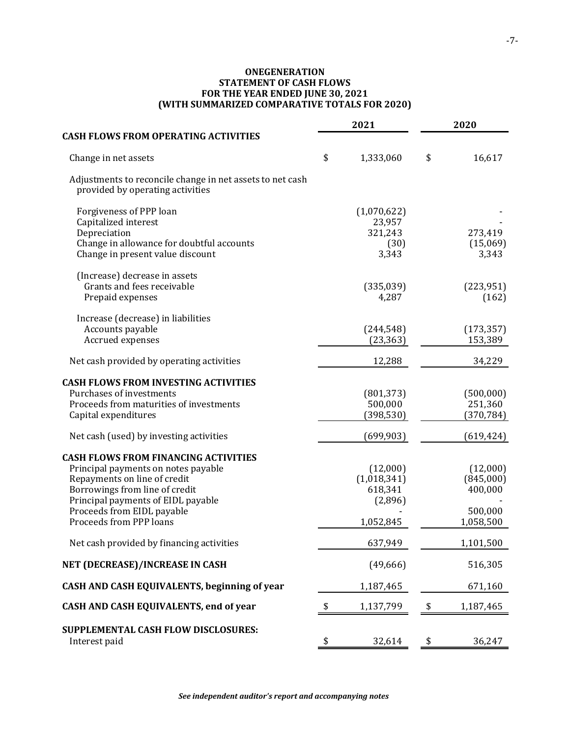#### **FOR THE YEAR ENDED JUNE 30, 2021 STATEMENT OF CASH FLOWS ONEGENERATION (WITH SUMMARIZED COMPARATIVE TOTALS FOR 2020)**

|                                                                                               | 2021            | 2020              |
|-----------------------------------------------------------------------------------------------|-----------------|-------------------|
| <b>CASH FLOWS FROM OPERATING ACTIVITIES</b>                                                   |                 |                   |
| Change in net assets                                                                          | \$<br>1,333,060 | \$<br>16,617      |
| Adjustments to reconcile change in net assets to net cash<br>provided by operating activities |                 |                   |
| Forgiveness of PPP loan                                                                       | (1,070,622)     |                   |
| Capitalized interest                                                                          | 23,957          |                   |
| Depreciation                                                                                  | 321,243         | 273,419           |
| Change in allowance for doubtful accounts<br>Change in present value discount                 | (30)<br>3,343   | (15,069)<br>3,343 |
| (Increase) decrease in assets                                                                 |                 |                   |
| Grants and fees receivable                                                                    | (335,039)       | (223, 951)        |
| Prepaid expenses                                                                              | 4,287           | (162)             |
| Increase (decrease) in liabilities                                                            |                 |                   |
| Accounts payable                                                                              | (244, 548)      | (173, 357)        |
| Accrued expenses                                                                              | (23, 363)       | 153,389           |
| Net cash provided by operating activities                                                     | 12,288          | 34,229            |
| <b>CASH FLOWS FROM INVESTING ACTIVITIES</b>                                                   |                 |                   |
| Purchases of investments                                                                      | (801, 373)      | (500,000)         |
| Proceeds from maturities of investments                                                       | 500,000         | 251,360           |
| Capital expenditures                                                                          | (398, 530)      | (370, 784)        |
| Net cash (used) by investing activities                                                       | (699, 903)      | (619, 424)        |
| <b>CASH FLOWS FROM FINANCING ACTIVITIES</b>                                                   |                 |                   |
| Principal payments on notes payable                                                           | (12,000)        | (12,000)          |
| Repayments on line of credit                                                                  | (1,018,341)     | (845,000)         |
| Borrowings from line of credit                                                                | 618,341         | 400,000           |
| Principal payments of EIDL payable<br>Proceeds from EIDL payable                              | (2,896)         | 500,000           |
| Proceeds from PPP loans                                                                       | 1,052,845       | 1,058,500         |
|                                                                                               |                 |                   |
| Net cash provided by financing activities                                                     | 637,949         | 1,101,500         |
| NET (DECREASE)/INCREASE IN CASH                                                               | (49,666)        | 516,305           |
| CASH AND CASH EQUIVALENTS, beginning of year                                                  | 1,187,465       | 671,160           |
| CASH AND CASH EQUIVALENTS, end of year                                                        | \$<br>1,137,799 | \$<br>1,187,465   |
| SUPPLEMENTAL CASH FLOW DISCLOSURES:                                                           |                 |                   |
| Interest paid                                                                                 | 32,614          | \$<br>36,247      |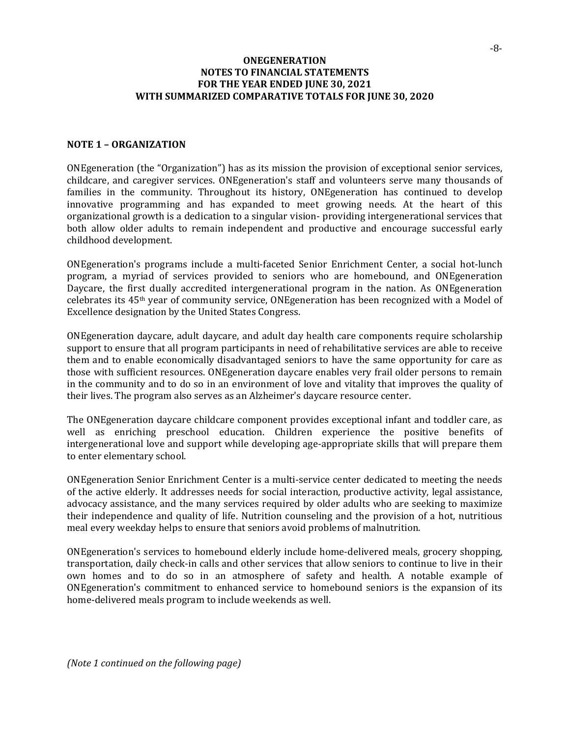## **NOTE 1 – ORGANIZATION**

ONEgeneration (the "Organization") has as its mission the provision of exceptional senior services, childcare, and caregiver services. ONEgeneration's staff and volunteers serve many thousands of families in the community. Throughout its history, ONEgeneration has continued to develop innovative programming and has expanded to meet growing needs. At the heart of this organizational growth is a dedication to a singular vision- providing intergenerational services that both allow older adults to remain independent and productive and encourage successful early childhood development.

ONEgeneration's programs include a multi-faceted Senior Enrichment Center, a social hot-lunch program, a myriad of services provided to seniors who are homebound, and ONEgeneration Daycare, the first dually accredited intergenerational program in the nation. As ONEgeneration celebrates its 45th year of community service, ONEgeneration has been recognized with a Model of Excellence designation by the United States Congress.

ONEgeneration daycare, adult daycare, and adult day health care components require scholarship support to ensure that all program participants in need of rehabilitative services are able to receive them and to enable economically disadvantaged seniors to have the same opportunity for care as those with sufficient resources. ONEgeneration daycare enables very frail older persons to remain in the community and to do so in an environment of love and vitality that improves the quality of their lives. The program also serves as an Alzheimer's daycare resource center.

The ONEgeneration daycare childcare component provides exceptional infant and toddler care, as well as enriching preschool education. Children experience the positive benefits of intergenerational love and support while developing age-appropriate skills that will prepare them to enter elementary school.

ONEgeneration Senior Enrichment Center is a multi-service center dedicated to meeting the needs of the active elderly. It addresses needs for social interaction, productive activity, legal assistance, advocacy assistance, and the many services required by older adults who are seeking to maximize their independence and quality of life. Nutrition counseling and the provision of a hot, nutritious meal every weekday helps to ensure that seniors avoid problems of malnutrition.

ONEgeneration's services to homebound elderly include home-delivered meals, grocery shopping, transportation, daily check-in calls and other services that allow seniors to continue to live in their own homes and to do so in an atmosphere of safety and health. A notable example of ONEgeneration's commitment to enhanced service to homebound seniors is the expansion of its home-delivered meals program to include weekends as well.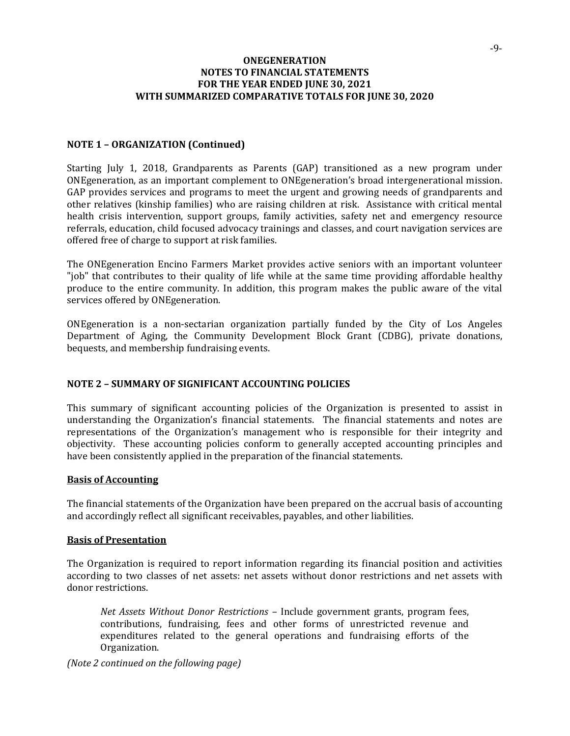#### **NOTE 1 – ORGANIZATION (Continued)**

Starting July 1, 2018, Grandparents as Parents (GAP) transitioned as a new program under ONEgeneration, as an important complement to ONEgeneration's broad intergenerational mission. GAP provides services and programs to meet the urgent and growing needs of grandparents and other relatives (kinship families) who are raising children at risk. Assistance with critical mental health crisis intervention, support groups, family activities, safety net and emergency resource referrals, education, child focused advocacy trainings and classes, and court navigation services are offered free of charge to support at risk families.

The ONEgeneration Encino Farmers Market provides active seniors with an important volunteer "job" that contributes to their quality of life while at the same time providing affordable healthy produce to the entire community. In addition, this program makes the public aware of the vital services offered by ONEgeneration.

ONEgeneration is a non-sectarian organization partially funded by the City of Los Angeles Department of Aging, the Community Development Block Grant (CDBG), private donations, bequests, and membership fundraising events.

## **NOTE 2 – SUMMARY OF SIGNIFICANT ACCOUNTING POLICIES**

This summary of significant accounting policies of the Organization is presented to assist in understanding the Organization's financial statements. The financial statements and notes are representations of the Organization's management who is responsible for their integrity and objectivity. These accounting policies conform to generally accepted accounting principles and have been consistently applied in the preparation of the financial statements.

## **Basis of Accounting**

The financial statements of the Organization have been prepared on the accrual basis of accounting and accordingly reflect all significant receivables, payables, and other liabilities.

#### **Basis of Presentation**

The Organization is required to report information regarding its financial position and activities according to two classes of net assets: net assets without donor restrictions and net assets with donor restrictions.

*Net Assets Without Donor Restrictions –* Include government grants, program fees, contributions, fundraising, fees and other forms of unrestricted revenue and expenditures related to the general operations and fundraising efforts of the Organization.

*(Note 2 continued on the following page)*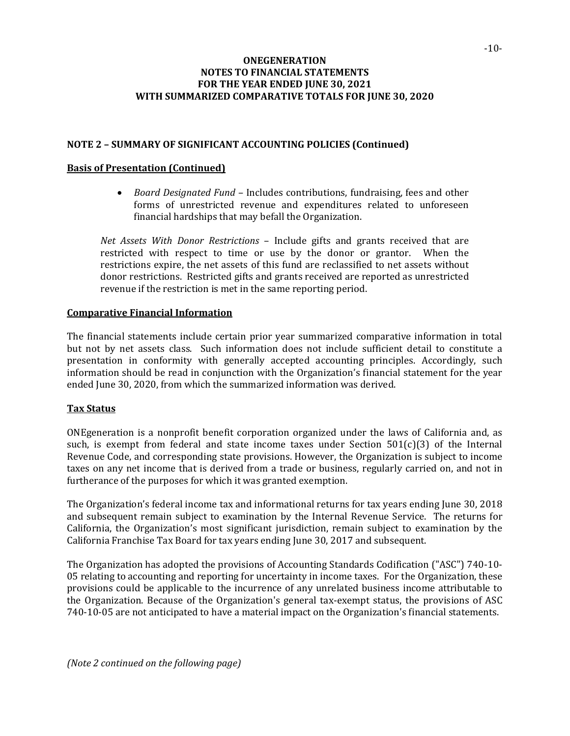## **NOTE 2 – SUMMARY OF SIGNIFICANT ACCOUNTING POLICIES (Continued)**

#### **Basis of Presentation (Continued)**

 *Board Designated Fund –* Includes contributions, fundraising, fees and other forms of unrestricted revenue and expenditures related to unforeseen financial hardships that may befall the Organization.

*Net Assets With Donor Restrictions* – Include gifts and grants received that are restricted with respect to time or use by the donor or grantor. When the restrictions expire, the net assets of this fund are reclassified to net assets without donor restrictions. Restricted gifts and grants received are reported as unrestricted revenue if the restriction is met in the same reporting period.

#### **Comparative Financial Information**

The financial statements include certain prior year summarized comparative information in total but not by net assets class. Such information does not include sufficient detail to constitute a presentation in conformity with generally accepted accounting principles. Accordingly, such information should be read in conjunction with the Organization's financial statement for the year ended June 30, 2020, from which the summarized information was derived.

## **Tax Status**

ONEgeneration is a nonprofit benefit corporation organized under the laws of California and, as such, is exempt from federal and state income taxes under Section  $501(c)(3)$  of the Internal Revenue Code, and corresponding state provisions. However, the Organization is subject to income taxes on any net income that is derived from a trade or business, regularly carried on, and not in furtherance of the purposes for which it was granted exemption.

The Organization's federal income tax and informational returns for tax years ending June 30, 2018 and subsequent remain subject to examination by the Internal Revenue Service. The returns for California, the Organization's most significant jurisdiction, remain subject to examination by the California Franchise Tax Board for tax years ending June 30, 2017 and subsequent.

The Organization has adopted the provisions of Accounting Standards Codification ("ASC") 740-10- 05 relating to accounting and reporting for uncertainty in income taxes. For the Organization, these provisions could be applicable to the incurrence of any unrelated business income attributable to the Organization. Because of the Organization's general tax-exempt status, the provisions of ASC 740-10-05 are not anticipated to have a material impact on the Organization's financial statements.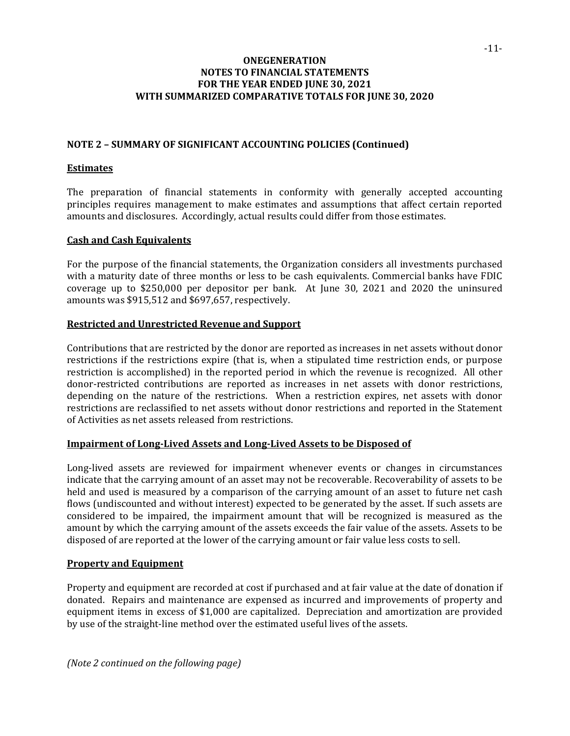## **NOTE 2 – SUMMARY OF SIGNIFICANT ACCOUNTING POLICIES (Continued)**

## **Estimates**

The preparation of financial statements in conformity with generally accepted accounting principles requires management to make estimates and assumptions that affect certain reported amounts and disclosures. Accordingly, actual results could differ from those estimates.

## **Cash and Cash Equivalents**

For the purpose of the financial statements, the Organization considers all investments purchased with a maturity date of three months or less to be cash equivalents. Commercial banks have FDIC coverage up to \$250,000 per depositor per bank. At June 30, 2021 and 2020 the uninsured amounts was \$915,512 and \$697,657, respectively.

## **Restricted and Unrestricted Revenue and Support**

Contributions that are restricted by the donor are reported as increases in net assets without donor restrictions if the restrictions expire (that is, when a stipulated time restriction ends, or purpose restriction is accomplished) in the reported period in which the revenue is recognized. All other donor-restricted contributions are reported as increases in net assets with donor restrictions, depending on the nature of the restrictions. When a restriction expires, net assets with donor restrictions are reclassified to net assets without donor restrictions and reported in the Statement of Activities as net assets released from restrictions.

## **Impairment of Long‐Lived Assets and Long‐Lived Assets to be Disposed of**

Long-lived assets are reviewed for impairment whenever events or changes in circumstances indicate that the carrying amount of an asset may not be recoverable. Recoverability of assets to be held and used is measured by a comparison of the carrying amount of an asset to future net cash flows (undiscounted and without interest) expected to be generated by the asset. If such assets are considered to be impaired, the impairment amount that will be recognized is measured as the amount by which the carrying amount of the assets exceeds the fair value of the assets. Assets to be disposed of are reported at the lower of the carrying amount or fair value less costs to sell.

## **Property and Equipment**

Property and equipment are recorded at cost if purchased and at fair value at the date of donation if donated. Repairs and maintenance are expensed as incurred and improvements of property and equipment items in excess of \$1,000 are capitalized. Depreciation and amortization are provided by use of the straight-line method over the estimated useful lives of the assets.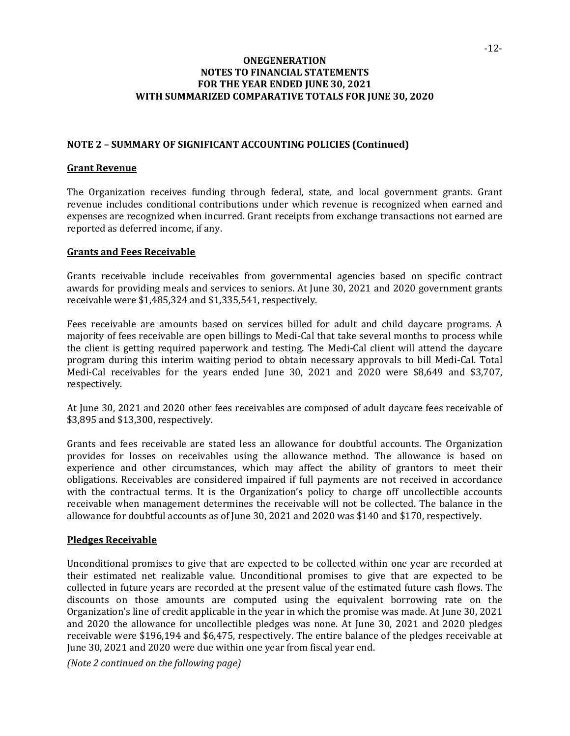## **NOTE 2 – SUMMARY OF SIGNIFICANT ACCOUNTING POLICIES (Continued)**

## **Grant Revenue**

The Organization receives funding through federal, state, and local government grants. Grant revenue includes conditional contributions under which revenue is recognized when earned and expenses are recognized when incurred. Grant receipts from exchange transactions not earned are reported as deferred income, if any.

#### **Grants and Fees Receivable**

Grants receivable include receivables from governmental agencies based on specific contract awards for providing meals and services to seniors. At June 30, 2021 and 2020 government grants receivable were \$1,485,324 and \$1,335,541, respectively.

Fees receivable are amounts based on services billed for adult and child daycare programs. A majority of fees receivable are open billings to Medi-Cal that take several months to process while the client is getting required paperwork and testing. The Medi-Cal client will attend the daycare program during this interim waiting period to obtain necessary approvals to bill Medi-Cal. Total Medi-Cal receivables for the years ended June 30, 2021 and 2020 were \$8,649 and \$3,707, respectively.

At June 30, 2021 and 2020 other fees receivables are composed of adult daycare fees receivable of \$3,895 and \$13,300, respectively.

Grants and fees receivable are stated less an allowance for doubtful accounts. The Organization provides for losses on receivables using the allowance method. The allowance is based on experience and other circumstances, which may affect the ability of grantors to meet their obligations. Receivables are considered impaired if full payments are not received in accordance with the contractual terms. It is the Organization's policy to charge off uncollectible accounts receivable when management determines the receivable will not be collected. The balance in the allowance for doubtful accounts as of June 30, 2021 and 2020 was \$140 and \$170, respectively.

## **Pledges Receivable**

Unconditional promises to give that are expected to be collected within one year are recorded at their estimated net realizable value. Unconditional promises to give that are expected to be collected in future years are recorded at the present value of the estimated future cash flows. The discounts on those amounts are computed using the equivalent borrowing rate on the Organization's line of credit applicable in the year in which the promise was made. At June 30, 2021 and 2020 the allowance for uncollectible pledges was none. At June 30, 2021 and 2020 pledges receivable were \$196,194 and \$6,475, respectively. The entire balance of the pledges receivable at June 30, 2021 and 2020 were due within one year from fiscal year end.

*(Note 2 continued on the following page)*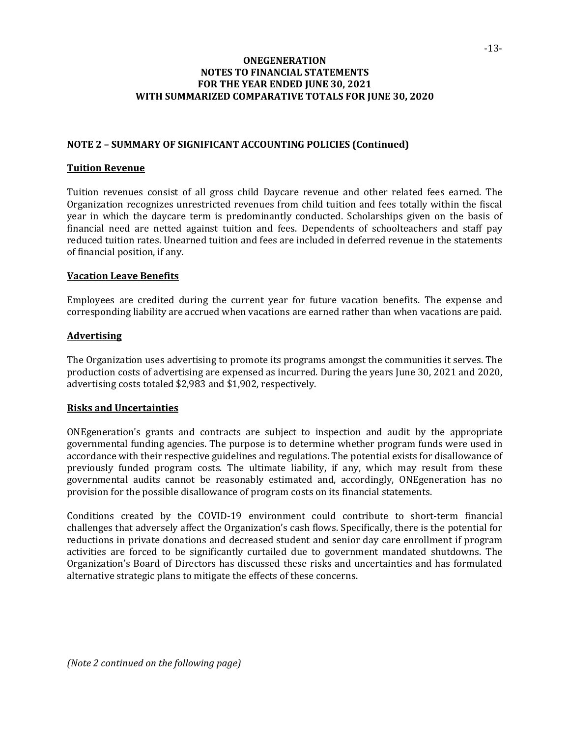## **NOTE 2 – SUMMARY OF SIGNIFICANT ACCOUNTING POLICIES (Continued)**

## **Tuition Revenue**

Tuition revenues consist of all gross child Daycare revenue and other related fees earned. The Organization recognizes unrestricted revenues from child tuition and fees totally within the fiscal year in which the daycare term is predominantly conducted. Scholarships given on the basis of financial need are netted against tuition and fees. Dependents of schoolteachers and staff pay reduced tuition rates. Unearned tuition and fees are included in deferred revenue in the statements of financial position, if any.

## **Vacation Leave Benefits**

Employees are credited during the current year for future vacation benefits. The expense and corresponding liability are accrued when vacations are earned rather than when vacations are paid.

## **Advertising**

The Organization uses advertising to promote its programs amongst the communities it serves. The production costs of advertising are expensed as incurred. During the years June 30, 2021 and 2020, advertising costs totaled \$2,983 and \$1,902, respectively.

## **Risks and Uncertainties**

ONEgeneration's grants and contracts are subject to inspection and audit by the appropriate governmental funding agencies. The purpose is to determine whether program funds were used in accordance with their respective guidelines and regulations. The potential exists for disallowance of previously funded program costs. The ultimate liability, if any, which may result from these governmental audits cannot be reasonably estimated and, accordingly, ONEgeneration has no provision for the possible disallowance of program costs on its financial statements.

Conditions created by the COVID-19 environment could contribute to short-term financial challenges that adversely affect the Organization's cash flows. Specifically, there is the potential for reductions in private donations and decreased student and senior day care enrollment if program activities are forced to be significantly curtailed due to government mandated shutdowns. The Organization's Board of Directors has discussed these risks and uncertainties and has formulated alternative strategic plans to mitigate the effects of these concerns.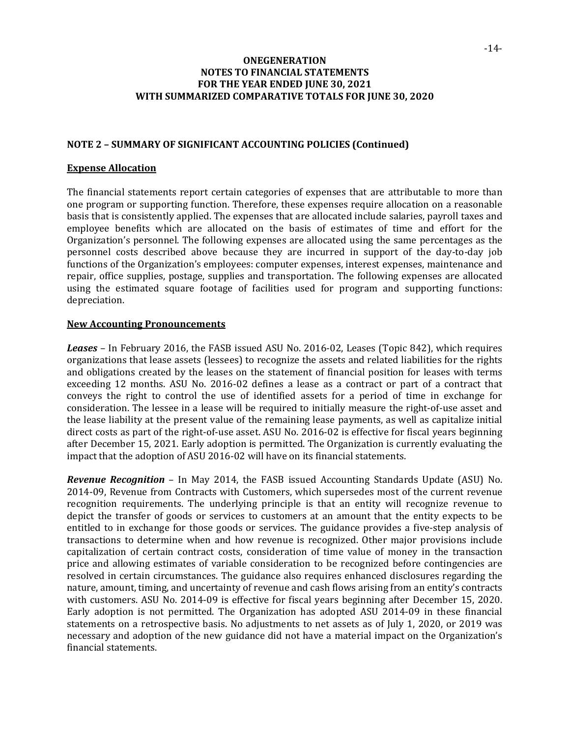#### **NOTE 2 – SUMMARY OF SIGNIFICANT ACCOUNTING POLICIES (Continued)**

## **Expense Allocation**

The financial statements report certain categories of expenses that are attributable to more than one program or supporting function. Therefore, these expenses require allocation on a reasonable basis that is consistently applied. The expenses that are allocated include salaries, payroll taxes and employee benefits which are allocated on the basis of estimates of time and effort for the Organization's personnel. The following expenses are allocated using the same percentages as the personnel costs described above because they are incurred in support of the day-to-day job functions of the Organization's employees: computer expenses, interest expenses, maintenance and repair, office supplies, postage, supplies and transportation. The following expenses are allocated using the estimated square footage of facilities used for program and supporting functions: depreciation.

#### **New Accounting Pronouncements**

*Leases* – In February 2016, the FASB issued ASU No. 2016-02, Leases (Topic 842), which requires organizations that lease assets (lessees) to recognize the assets and related liabilities for the rights and obligations created by the leases on the statement of financial position for leases with terms exceeding 12 months. ASU No. 2016-02 defines a lease as a contract or part of a contract that conveys the right to control the use of identified assets for a period of time in exchange for consideration. The lessee in a lease will be required to initially measure the right-of-use asset and the lease liability at the present value of the remaining lease payments, as well as capitalize initial direct costs as part of the right-of-use asset. ASU No. 2016-02 is effective for fiscal years beginning after December 15, 2021. Early adoption is permitted. The Organization is currently evaluating the impact that the adoption of ASU 2016-02 will have on its financial statements.

*Revenue Recognition* – In May 2014, the FASB issued Accounting Standards Update (ASU) No. 2014-09, Revenue from Contracts with Customers, which supersedes most of the current revenue recognition requirements. The underlying principle is that an entity will recognize revenue to depict the transfer of goods or services to customers at an amount that the entity expects to be entitled to in exchange for those goods or services. The guidance provides a five-step analysis of transactions to determine when and how revenue is recognized. Other major provisions include capitalization of certain contract costs, consideration of time value of money in the transaction price and allowing estimates of variable consideration to be recognized before contingencies are resolved in certain circumstances. The guidance also requires enhanced disclosures regarding the nature, amount, timing, and uncertainty of revenue and cash flows arising from an entity's contracts with customers. ASU No. 2014-09 is effective for fiscal years beginning after December 15, 2020. Early adoption is not permitted. The Organization has adopted ASU 2014-09 in these financial statements on a retrospective basis. No adjustments to net assets as of July 1, 2020, or 2019 was necessary and adoption of the new guidance did not have a material impact on the Organization's financial statements.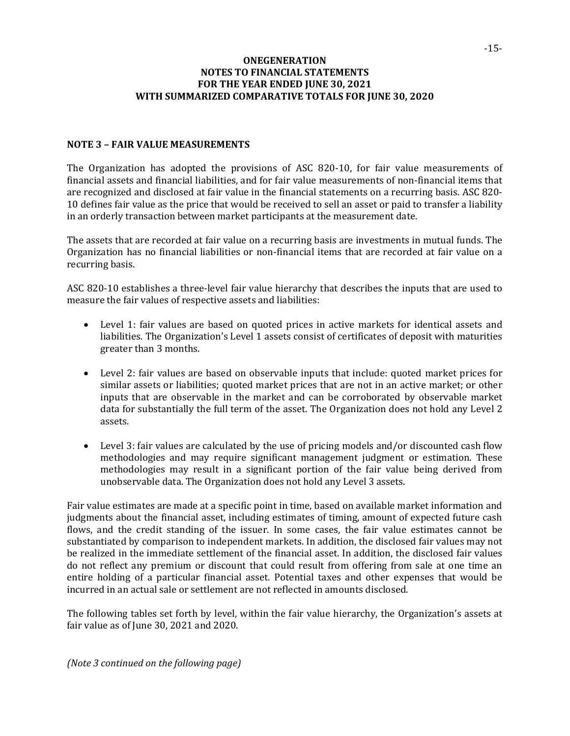## **NOTE 3 – FAIR VALUE MEASUREMENTS**

The Organization has adopted the provisions of ASC 820-10, for fair value measurements of financial assets and financial liabilities, and for fair value measurements of non-financial items that are recognized and disclosed at fair value in the financial statements on a recurring basis. ASC 820- 10 defines fair value as the price that would be received to sell an asset or paid to transfer a liability in an orderly transaction between market participants at the measurement date.

The assets that are recorded at fair value on a recurring basis are investments in mutual funds. The Organization has no financial liabilities or non-financial items that are recorded at fair value on a recurring basis.

ASC 820-10 establishes a three-level fair value hierarchy that describes the inputs that are used to measure the fair values of respective assets and liabilities:

- Level 1: fair values are based on quoted prices in active markets for identical assets and liabilities. The Organization's Level 1 assets consist of certificates of deposit with maturities greater than 3 months.
- Level 2: fair values are based on observable inputs that include: quoted market prices for similar assets or liabilities; quoted market prices that are not in an active market; or other inputs that are observable in the market and can be corroborated by observable market data for substantially the full term of the asset. The Organization does not hold any Level 2 assets.
- Level 3: fair values are calculated by the use of pricing models and/or discounted cash flow methodologies and may require significant management judgment or estimation. These methodologies may result in a significant portion of the fair value being derived from unobservable data. The Organization does not hold any Level 3 assets.

Fair value estimates are made at a specific point in time, based on available market information and judgments about the financial asset, including estimates of timing, amount of expected future cash flows, and the credit standing of the issuer. In some cases, the fair value estimates cannot be substantiated by comparison to independent markets. In addition, the disclosed fair values may not be realized in the immediate settlement of the financial asset. In addition, the disclosed fair values do not reflect any premium or discount that could result from offering from sale at one time an entire holding of a particular financial asset. Potential taxes and other expenses that would be incurred in an actual sale or settlement are not reflected in amounts disclosed.

The following tables set forth by level, within the fair value hierarchy, the Organization's assets at fair value as of June 30, 2021 and 2020.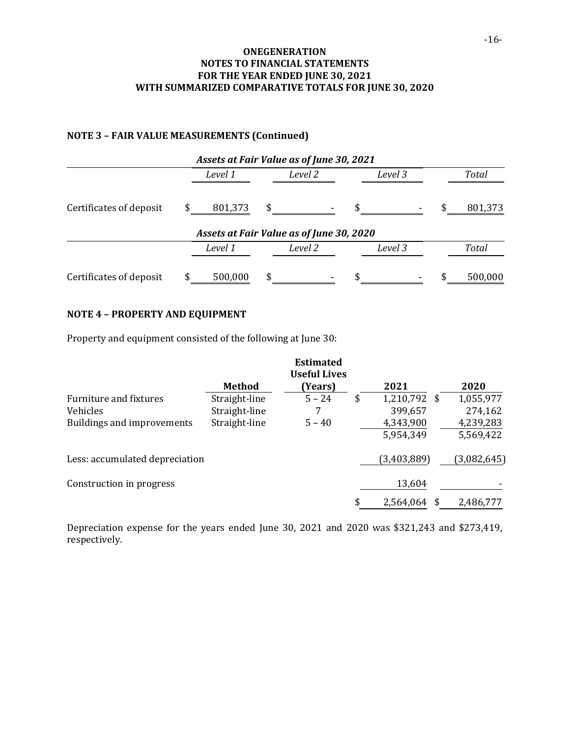## **NOTE 3 – FAIR VALUE MEASUREMENTS (Continued)**

|                         |               | Assets at Fair Value as of June 30, 2021 |         |              |
|-------------------------|---------------|------------------------------------------|---------|--------------|
|                         | Level 1       | Level 2                                  | Level 3 | <b>Total</b> |
| Certificates of deposit | 801,373<br>\$ | \$                                       |         | 801,373      |
|                         |               | Assets at Fair Value as of June 30, 2020 |         |              |
|                         | Level 1       | Level 2                                  | Level 3 | Total        |
| Certificates of deposit | 500,000<br>S  | \$                                       | \$      | 500,000      |

## **NOTE 4 – PROPERTY AND EQUIPMENT**

Property and equipment consisted of the following at June 30:

|                                |               | <b>Estimated</b><br><b>Useful Lives</b> |                    |             |
|--------------------------------|---------------|-----------------------------------------|--------------------|-------------|
|                                | Method        | (Years)                                 | 2021               | 2020        |
| Furniture and fixtures         | Straight-line | $5 - 24$                                | \$<br>1,210,792 \$ | 1,055,977   |
| Vehicles                       | Straight-line |                                         | 399,657            | 274,162     |
| Buildings and improvements     | Straight-line | $5 - 40$                                | 4,343,900          | 4,239,283   |
|                                |               |                                         | 5,954,349          | 5,569,422   |
| Less: accumulated depreciation |               |                                         | (3,403,889)        | (3,082,645) |
| Construction in progress       |               |                                         | 13,604             |             |
|                                |               |                                         | 2,564,064 \$       | 2,486,777   |

Depreciation expense for the years ended June 30, 2021 and 2020 was \$321,243 and \$273,419, respectively.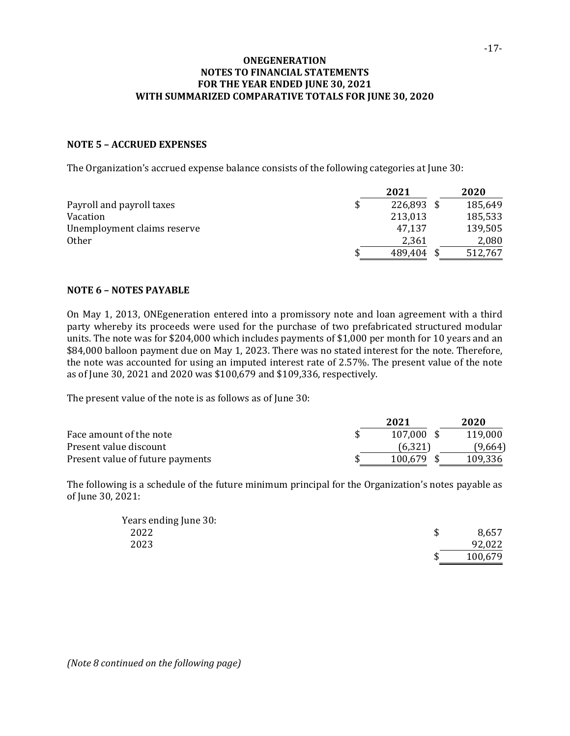## **NOTE 5 – ACCRUED EXPENSES**

The Organization's accrued expense balance consists of the following categories at June 30:

|                             | 2021       | 2020    |
|-----------------------------|------------|---------|
| Payroll and payroll taxes   | 226,893 \$ | 185,649 |
| Vacation                    | 213,013    | 185,533 |
| Unemployment claims reserve | 47,137     | 139,505 |
| <b>Other</b>                | 2,361      | 2,080   |
|                             | 489,404    | 512,767 |

#### **NOTE 6 – NOTES PAYABLE**

On May 1, 2013, ONEgeneration entered into a promissory note and loan agreement with a third party whereby its proceeds were used for the purchase of two prefabricated structured modular units. The note was for \$204,000 which includes payments of \$1,000 per month for 10 years and an \$84,000 balloon payment due on May 1, 2023. There was no stated interest for the note. Therefore, the note was accounted for using an imputed interest rate of 2.57%. The present value of the note as of June 30, 2021 and 2020 was \$100,679 and \$109,336, respectively.

The present value of the note is as follows as of June 30:

|                                  | 2021       | 2020    |
|----------------------------------|------------|---------|
| Face amount of the note          | 107.000 \$ | 119,000 |
| Present value discount           | (6,321)    | (9,664) |
| Present value of future payments | 100.679 \$ | 109.336 |

The following is a schedule of the future minimum principal for the Organization's notes payable as of June 30, 2021:

| Years ending June 30: |         |
|-----------------------|---------|
| 2022                  | 8,657   |
| 2023                  | 92,022  |
|                       | 100,679 |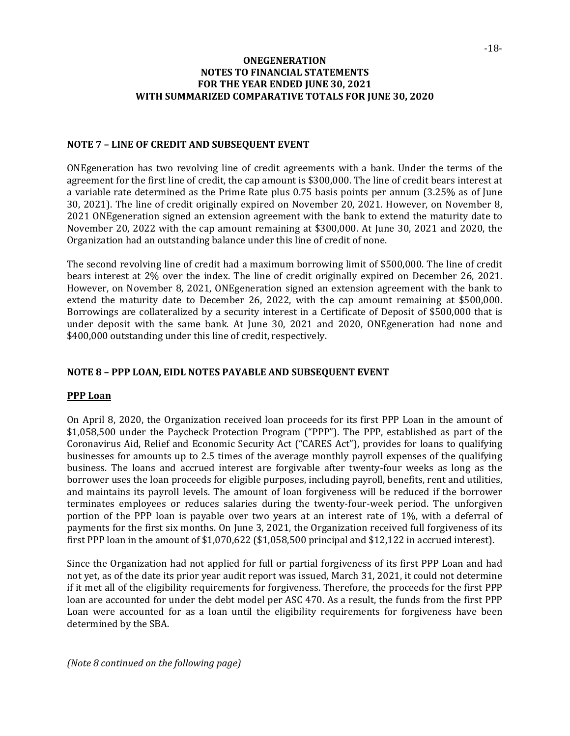#### **NOTE 7 – LINE OF CREDIT AND SUBSEQUENT EVENT**

ONEgeneration has two revolving line of credit agreements with a bank. Under the terms of the agreement for the first line of credit, the cap amount is \$300,000. The line of credit bears interest at a variable rate determined as the Prime Rate plus 0.75 basis points per annum (3.25% as of June 30, 2021). The line of credit originally expired on November 20, 2021. However, on November 8, 2021 ONEgeneration signed an extension agreement with the bank to extend the maturity date to November 20, 2022 with the cap amount remaining at \$300,000. At June 30, 2021 and 2020, the Organization had an outstanding balance under this line of credit of none.

The second revolving line of credit had a maximum borrowing limit of \$500,000. The line of credit bears interest at 2% over the index. The line of credit originally expired on December 26, 2021. However, on November 8, 2021, ONEgeneration signed an extension agreement with the bank to extend the maturity date to December 26, 2022, with the cap amount remaining at \$500,000. Borrowings are collateralized by a security interest in a Certificate of Deposit of \$500,000 that is under deposit with the same bank. At June 30, 2021 and 2020, ONEgeneration had none and \$400,000 outstanding under this line of credit, respectively.

## **NOTE 8 – PPP LOAN, EIDL NOTES PAYABLE AND SUBSEQUENT EVENT**

## **PPP Loan**

On April 8, 2020, the Organization received loan proceeds for its first PPP Loan in the amount of \$1,058,500 under the Paycheck Protection Program ("PPP"). The PPP, established as part of the Coronavirus Aid, Relief and Economic Security Act ("CARES Act"), provides for loans to qualifying businesses for amounts up to 2.5 times of the average monthly payroll expenses of the qualifying business. The loans and accrued interest are forgivable after twenty-four weeks as long as the borrower uses the loan proceeds for eligible purposes, including payroll, benefits, rent and utilities, and maintains its payroll levels. The amount of loan forgiveness will be reduced if the borrower terminates employees or reduces salaries during the twenty-four-week period. The unforgiven portion of the PPP loan is payable over two years at an interest rate of 1%, with a deferral of payments for the first six months. On June 3, 2021, the Organization received full forgiveness of its first PPP loan in the amount of \$1,070,622 (\$1,058,500 principal and \$12,122 in accrued interest).

Since the Organization had not applied for full or partial forgiveness of its first PPP Loan and had not yet, as of the date its prior year audit report was issued, March 31, 2021, it could not determine if it met all of the eligibility requirements for forgiveness. Therefore, the proceeds for the first PPP loan are accounted for under the debt model per ASC 470. As a result, the funds from the first PPP Loan were accounted for as a loan until the eligibility requirements for forgiveness have been determined by the SBA.

*(Note 8 continued on the following page)*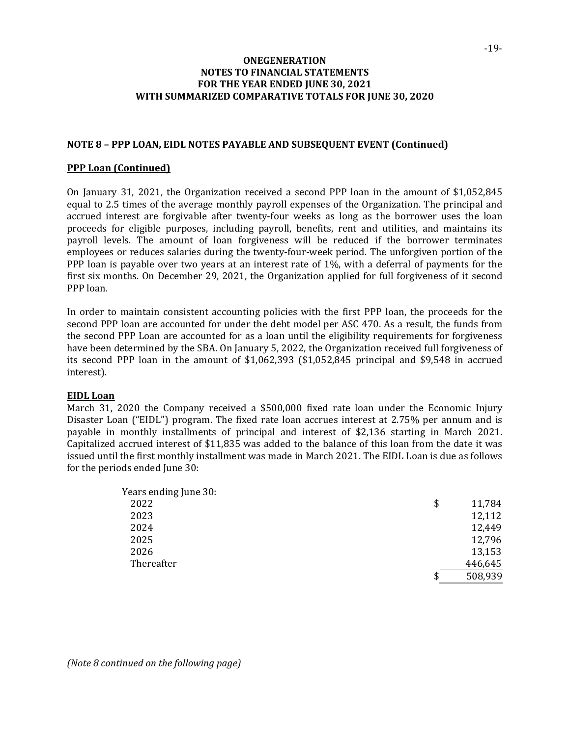#### **NOTE 8 – PPP LOAN, EIDL NOTES PAYABLE AND SUBSEQUENT EVENT (Continued)**

#### **PPP Loan (Continued)**

On January 31, 2021, the Organization received a second PPP loan in the amount of \$1,052,845 equal to 2.5 times of the average monthly payroll expenses of the Organization. The principal and accrued interest are forgivable after twenty-four weeks as long as the borrower uses the loan proceeds for eligible purposes, including payroll, benefits, rent and utilities, and maintains its payroll levels. The amount of loan forgiveness will be reduced if the borrower terminates employees or reduces salaries during the twenty-four-week period. The unforgiven portion of the PPP loan is payable over two years at an interest rate of 1%, with a deferral of payments for the first six months. On December 29, 2021, the Organization applied for full forgiveness of it second PPP loan.

In order to maintain consistent accounting policies with the first PPP loan, the proceeds for the second PPP loan are accounted for under the debt model per ASC 470. As a result, the funds from the second PPP Loan are accounted for as a loan until the eligibility requirements for forgiveness have been determined by the SBA. On January 5, 2022, the Organization received full forgiveness of its second PPP loan in the amount of \$1,062,393 (\$1,052,845 principal and \$9,548 in accrued interest).

#### **EIDL Loan**

March 31, 2020 the Company received a \$500,000 fixed rate loan under the Economic Injury Disaster Loan ("EIDL") program. The fixed rate loan accrues interest at 2.75% per annum and is payable in monthly installments of principal and interest of \$2,136 starting in March 2021. Capitalized accrued interest of \$11,835 was added to the balance of this loan from the date it was issued until the first monthly installment was made in March 2021. The EIDL Loan is due as follows for the periods ended June 30:

| Years ending June 30: |               |
|-----------------------|---------------|
| 2022                  | \$<br>11,784  |
| 2023                  | 12,112        |
| 2024                  | 12,449        |
| 2025                  | 12,796        |
| 2026                  | 13,153        |
| Thereafter            | 446,645       |
|                       | 508,939<br>\$ |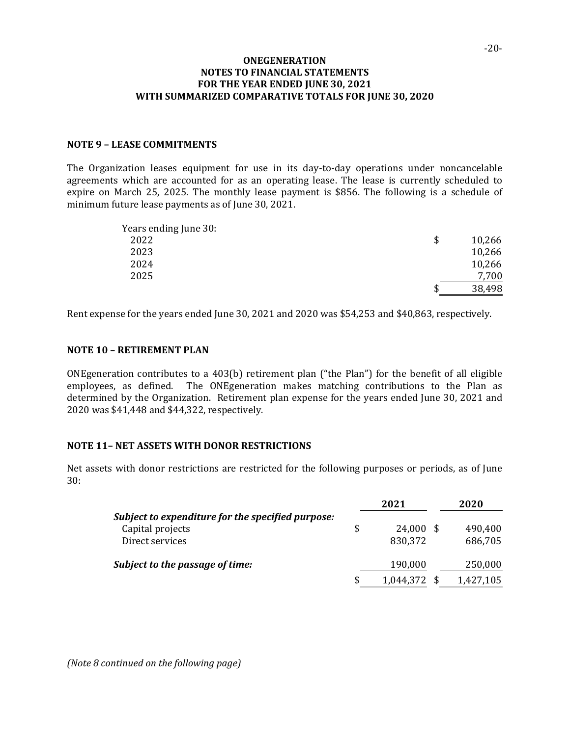#### **NOTE 9 – LEASE COMMITMENTS**

The Organization leases equipment for use in its day-to-day operations under noncancelable agreements which are accounted for as an operating lease. The lease is currently scheduled to expire on March 25, 2025. The monthly lease payment is \$856. The following is a schedule of minimum future lease payments as of June 30, 2021.

| Years ending June 30: |              |  |
|-----------------------|--------------|--|
| 2022                  | \$<br>10,266 |  |
| 2023                  | 10,266       |  |
| 2024                  | 10,266       |  |
| 2025                  | 7,700        |  |
|                       | 38,498<br>\$ |  |

Rent expense for the years ended June 30, 2021 and 2020 was \$54,253 and \$40,863, respectively.

#### **NOTE 10 – RETIREMENT PLAN**

ONEgeneration contributes to a 403(b) retirement plan ("the Plan") for the benefit of all eligible employees, as defined. The ONEgeneration makes matching contributions to the Plan as determined by the Organization. Retirement plan expense for the years ended June 30, 2021 and 2020 was \$41,448 and \$44,322, respectively.

#### **NOTE 11– NET ASSETS WITH DONOR RESTRICTIONS**

Net assets with donor restrictions are restricted for the following purposes or periods, as of June 30:

|                                                   | 2021         | 2020      |
|---------------------------------------------------|--------------|-----------|
| Subject to expenditure for the specified purpose: |              |           |
| Capital projects                                  | \$<br>24,000 | 490,400   |
| Direct services                                   | 830,372      | 686,705   |
| Subject to the passage of time:                   | 190,000      | 250,000   |
|                                                   | 1,044,372    | 1,427,105 |

*(Note 8 continued on the following page)*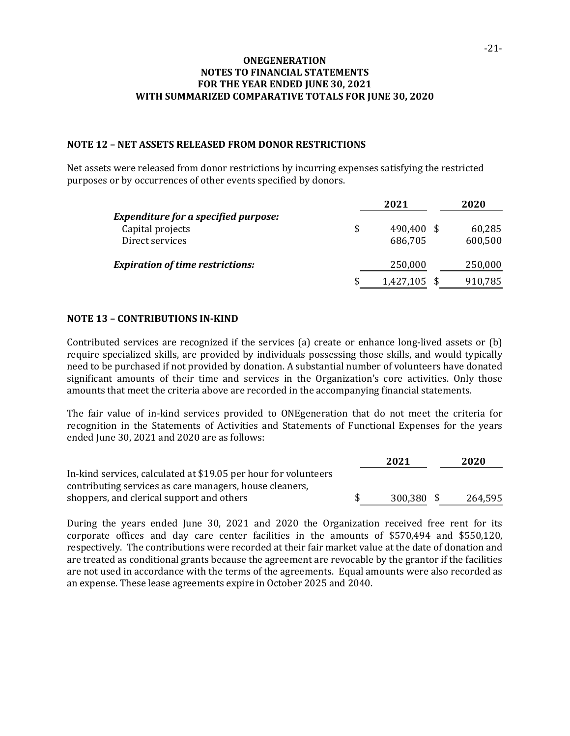#### **NOTE 12 – NET ASSETS RELEASED FROM DONOR RESTRICTIONS**

Net assets were released from donor restrictions by incurring expenses satisfying the restricted purposes or by occurrences of other events specified by donors.

|                                             |    | 2020      |         |
|---------------------------------------------|----|-----------|---------|
| <b>Expenditure for a specified purpose:</b> |    |           |         |
| Capital projects                            | \$ | 490,400   | 60,285  |
| Direct services                             |    | 686,705   | 600,500 |
| <b>Expiration of time restrictions:</b>     |    | 250,000   | 250,000 |
|                                             | \$ | 1,427,105 | 910,785 |

## **NOTE 13 – CONTRIBUTIONS IN‐KIND**

Contributed services are recognized if the services (a) create or enhance long-lived assets or (b) require specialized skills, are provided by individuals possessing those skills, and would typically need to be purchased if not provided by donation. A substantial number of volunteers have donated significant amounts of their time and services in the Organization's core activities. Only those amounts that meet the criteria above are recorded in the accompanying financial statements.

The fair value of in-kind services provided to ONEgeneration that do not meet the criteria for recognition in the Statements of Activities and Statements of Functional Expenses for the years ended June 30, 2021 and 2020 are as follows:

|                                                                 | 2021         | 2020    |
|-----------------------------------------------------------------|--------------|---------|
| In-kind services, calculated at \$19.05 per hour for volunteers |              |         |
| contributing services as care managers, house cleaners,         |              |         |
| shoppers, and clerical support and others                       | $300,380$ \$ | 264,595 |

During the years ended June 30, 2021 and 2020 the Organization received free rent for its corporate offices and day care center facilities in the amounts of \$570,494 and \$550,120, respectively. The contributions were recorded at their fair market value at the date of donation and are treated as conditional grants because the agreement are revocable by the grantor if the facilities are not used in accordance with the terms of the agreements. Equal amounts were also recorded as an expense. These lease agreements expire in October 2025 and 2040.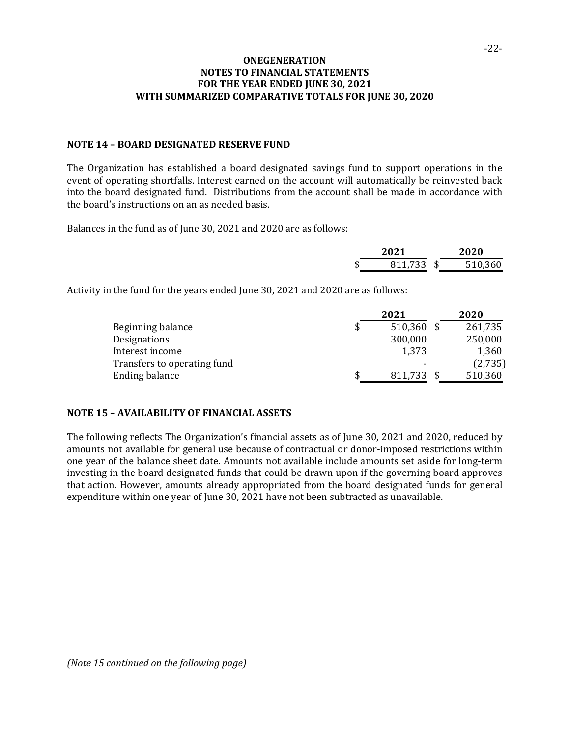#### **NOTE 14 – BOARD DESIGNATED RESERVE FUND**

The Organization has established a board designated savings fund to support operations in the event of operating shortfalls. Interest earned on the account will automatically be reinvested back into the board designated fund. Distributions from the account shall be made in accordance with the board's instructions on an as needed basis.

Balances in the fund as of June 30, 2021 and 2020 are as follows:

| 2021                   | 2020    |  |  |
|------------------------|---------|--|--|
| 811,733 \$<br>D<br>ັບປ | 510,360 |  |  |

Activity in the fund for the years ended June 30, 2021 and 2020 are as follows:

|                             | 2021          |  |         |  |  |
|-----------------------------|---------------|--|---------|--|--|
| Beginning balance           | \$<br>510,360 |  | 261,735 |  |  |
| Designations                | 300,000       |  | 250,000 |  |  |
| Interest income             | 1,373         |  | 1,360   |  |  |
| Transfers to operating fund |               |  | (2,735) |  |  |
| Ending balance              | \$<br>811,733 |  | 510,360 |  |  |

## **NOTE 15 – AVAILABILITY OF FINANCIAL ASSETS**

The following reflects The Organization's financial assets as of June 30, 2021 and 2020, reduced by amounts not available for general use because of contractual or donor-imposed restrictions within one year of the balance sheet date. Amounts not available include amounts set aside for long-term investing in the board designated funds that could be drawn upon if the governing board approves that action. However, amounts already appropriated from the board designated funds for general expenditure within one year of June 30, 2021 have not been subtracted as unavailable.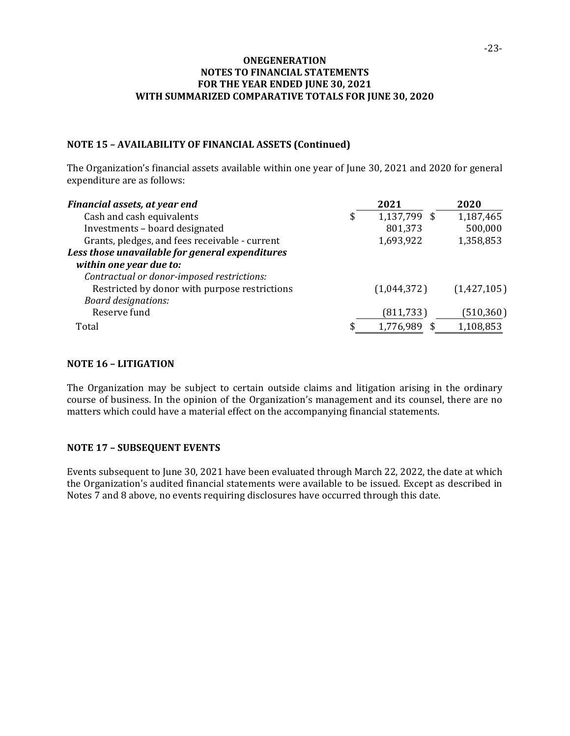## **NOTE 15 – AVAILABILITY OF FINANCIAL ASSETS (Continued)**

The Organization's financial assets available within one year of June 30, 2021 and 2020 for general expenditure are as follows:

| Financial assets, at year end                   | 2021               | 2020        |
|-------------------------------------------------|--------------------|-------------|
| Cash and cash equivalents                       | \$<br>1,137,799 \$ | 1,187,465   |
| Investments - board designated                  | 801,373            | 500,000     |
| Grants, pledges, and fees receivable - current  | 1,693,922          | 1,358,853   |
| Less those unavailable for general expenditures |                    |             |
| within one year due to:                         |                    |             |
| Contractual or donor-imposed restrictions:      |                    |             |
| Restricted by donor with purpose restrictions   | (1,044,372)        | (1,427,105) |
| <b>Board designations:</b>                      |                    |             |
| Reserve fund                                    | (811, 733)         | (510, 360)  |
| Total                                           | \$<br>1,776,989    | 1,108,853   |

#### **NOTE 16 – LITIGATION**

The Organization may be subject to certain outside claims and litigation arising in the ordinary course of business. In the opinion of the Organization's management and its counsel, there are no matters which could have a material effect on the accompanying financial statements.

## **NOTE 17 – SUBSEQUENT EVENTS**

Events subsequent to June 30, 2021 have been evaluated through March 22, 2022, the date at which the Organization's audited financial statements were available to be issued. Except as described in Notes 7 and 8 above, no events requiring disclosures have occurred through this date.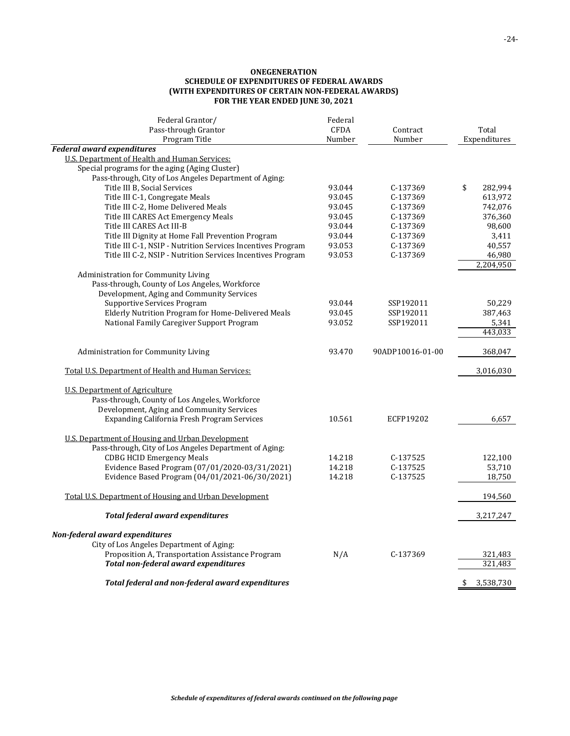#### **ONEGENERATION SCHEDULE OF EXPENDITURES OF FEDERAL AWARDS FOR THE YEAR ENDED JUNE 30, 2021 (WITH EXPENDITURES OF CERTAIN NON‐FEDERAL AWARDS)**

| Federal Grantor/                                            | Federal     |                  |                 |
|-------------------------------------------------------------|-------------|------------------|-----------------|
| Pass-through Grantor                                        | <b>CFDA</b> | Contract         | Total           |
| Program Title                                               | Number      | Number           | Expenditures    |
| <b>Federal award expenditures</b>                           |             |                  |                 |
| U.S. Department of Health and Human Services:               |             |                  |                 |
| Special programs for the aging (Aging Cluster)              |             |                  |                 |
| Pass-through, City of Los Angeles Department of Aging:      |             |                  |                 |
| Title III B, Social Services                                | 93.044      | C-137369         | \$<br>282,994   |
| Title III C-1, Congregate Meals                             | 93.045      | C-137369         | 613,972         |
| Title III C-2, Home Delivered Meals                         | 93.045      | C-137369         | 742,076         |
| Title III CARES Act Emergency Meals                         | 93.045      | C-137369         | 376,360         |
| Title III CARES Act III-B                                   | 93.044      | C-137369         | 98,600          |
| Title III Dignity at Home Fall Prevention Program           | 93.044      | C-137369         | 3,411           |
| Title III C-1, NSIP - Nutrition Services Incentives Program | 93.053      | C-137369         | 40,557          |
| Title III C-2, NSIP - Nutrition Services Incentives Program | 93.053      | C-137369         | 46,980          |
|                                                             |             |                  | 2,204,950       |
| <b>Administration for Community Living</b>                  |             |                  |                 |
| Pass-through, County of Los Angeles, Workforce              |             |                  |                 |
| Development, Aging and Community Services                   |             |                  |                 |
| <b>Supportive Services Program</b>                          | 93.044      | SSP192011        | 50,229          |
| Elderly Nutrition Program for Home-Delivered Meals          | 93.045      | SSP192011        | 387,463         |
| National Family Caregiver Support Program                   | 93.052      | SSP192011        | 5,341           |
|                                                             |             |                  | 443,033         |
| Administration for Community Living                         | 93.470      | 90ADP10016-01-00 | 368,047         |
| Total U.S. Department of Health and Human Services:         |             |                  | 3,016,030       |
|                                                             |             |                  |                 |
| <b>U.S. Department of Agriculture</b>                       |             |                  |                 |
| Pass-through, County of Los Angeles, Workforce              |             |                  |                 |
| Development, Aging and Community Services                   |             |                  |                 |
| Expanding California Fresh Program Services                 | 10.561      | ECFP19202        | 6,657           |
|                                                             |             |                  |                 |
| U.S. Department of Housing and Urban Development            |             |                  |                 |
| Pass-through, City of Los Angeles Department of Aging:      |             |                  |                 |
| <b>CDBG HCID Emergency Meals</b>                            | 14.218      | C-137525         | 122,100         |
| Evidence Based Program (07/01/2020-03/31/2021)              | 14.218      | C-137525         | 53,710          |
| Evidence Based Program (04/01/2021-06/30/2021)              | 14.218      | C-137525         | 18,750          |
| Total U.S. Department of Housing and Urban Development      |             |                  | 194,560         |
|                                                             |             |                  |                 |
| <b>Total federal award expenditures</b>                     |             |                  | 3,217,247       |
| Non-federal award expenditures                              |             |                  |                 |
| City of Los Angeles Department of Aging:                    |             |                  |                 |
| Proposition A, Transportation Assistance Program            | N/A         | C-137369         | 321,483         |
| <b>Total non-federal award expenditures</b>                 |             |                  | 321,483         |
|                                                             |             |                  |                 |
| Total federal and non-federal award expenditures            |             |                  | \$<br>3,538,730 |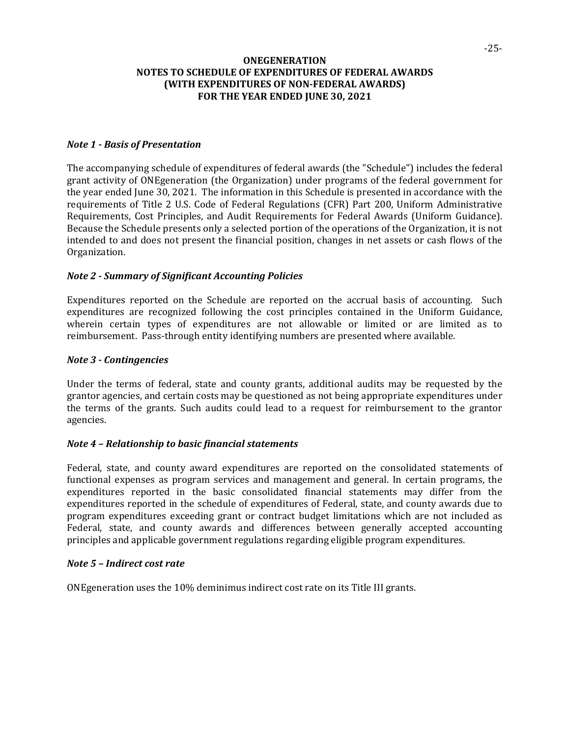## **ONEGENERATION NOTES TO SCHEDULE OF EXPENDITURES OF FEDERAL AWARDS (WITH EXPENDITURES OF NON‐FEDERAL AWARDS) FOR THE YEAR ENDED JUNE 30, 2021**

#### *Note 1 ‐ Basis of Presentation*

The accompanying schedule of expenditures of federal awards (the "Schedule") includes the federal grant activity of ONEgeneration (the Organization) under programs of the federal government for the year ended June 30, 2021. The information in this Schedule is presented in accordance with the requirements of Title 2 U.S. Code of Federal Regulations (CFR) Part 200, Uniform Administrative Requirements, Cost Principles, and Audit Requirements for Federal Awards (Uniform Guidance). Because the Schedule presents only a selected portion of the operations of the Organization, it is not intended to and does not present the financial position, changes in net assets or cash flows of the Organization.

## *Note 2 ‐ Summary of Significant Accounting Policies*

Expenditures reported on the Schedule are reported on the accrual basis of accounting. Such expenditures are recognized following the cost principles contained in the Uniform Guidance, wherein certain types of expenditures are not allowable or limited or are limited as to reimbursement. Pass-through entity identifying numbers are presented where available.

#### *Note 3 ‐ Contingencies*

Under the terms of federal, state and county grants, additional audits may be requested by the grantor agencies, and certain costs may be questioned as not being appropriate expenditures under the terms of the grants. Such audits could lead to a request for reimbursement to the grantor agencies.

## *Note 4 – Relationship to basic financial statements*

Federal, state, and county award expenditures are reported on the consolidated statements of functional expenses as program services and management and general. In certain programs, the expenditures reported in the basic consolidated financial statements may differ from the expenditures reported in the schedule of expenditures of Federal, state, and county awards due to program expenditures exceeding grant or contract budget limitations which are not included as Federal, state, and county awards and differences between generally accepted accounting principles and applicable government regulations regarding eligible program expenditures.

#### *Note 5 – Indirect cost rate*

ONEgeneration uses the 10% deminimus indirect cost rate on its Title III grants.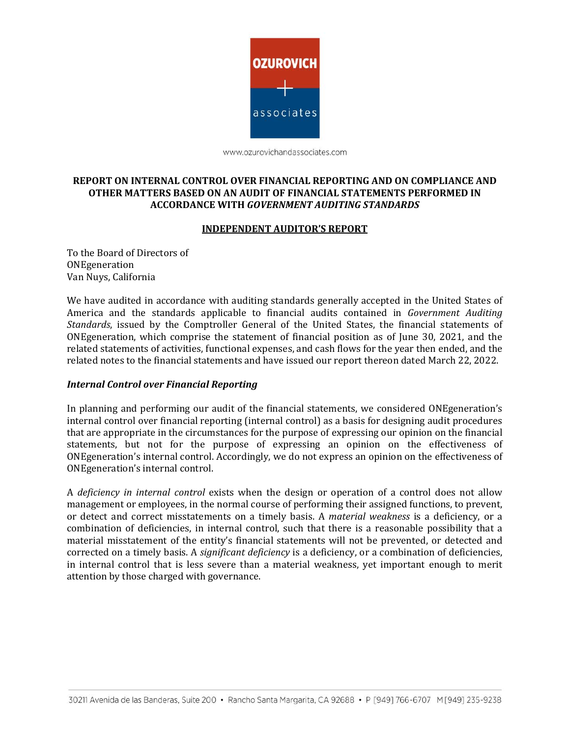

www.ozurovichandassociates.com

## **REPORT ON INTERNAL CONTROL OVER FINANCIAL REPORTING AND ON COMPLIANCE AND OTHER MATTERS BASED ON AN AUDIT OF FINANCIAL STATEMENTS PERFORMED IN ACCORDANCE WITH** *GOVERNMENT AUDITING STANDARDS*

## **INDEPENDENT AUDITOR'S REPORT**

To the Board of Directors of ONEgeneration Van Nuys, California

We have audited in accordance with auditing standards generally accepted in the United States of America and the standards applicable to financial audits contained in *Government Auditing Standards*, issued by the Comptroller General of the United States, the financial statements of ONEgeneration, which comprise the statement of financial position as of June 30, 2021, and the related statements of activities, functional expenses, and cash flows for the year then ended, and the related notes to the financial statements and have issued our report thereon dated March 22, 2022.

## *Internal Control over Financial Reporting*

In planning and performing our audit of the financial statements, we considered ONEgeneration's internal control over financial reporting (internal control) as a basis for designing audit procedures that are appropriate in the circumstances for the purpose of expressing our opinion on the financial statements, but not for the purpose of expressing an opinion on the effectiveness of ONEgeneration's internal control. Accordingly, we do not express an opinion on the effectiveness of ONEgeneration's internal control.

A *deficiency in internal control* exists when the design or operation of a control does not allow management or employees, in the normal course of performing their assigned functions, to prevent, or detect and correct misstatements on a timely basis. A *material weakness* is a deficiency, or a combination of deficiencies, in internal control, such that there is a reasonable possibility that a material misstatement of the entity's financial statements will not be prevented, or detected and corrected on a timely basis. A *significant deficiency* is a deficiency, or a combination of deficiencies, in internal control that is less severe than a material weakness, yet important enough to merit attention by those charged with governance.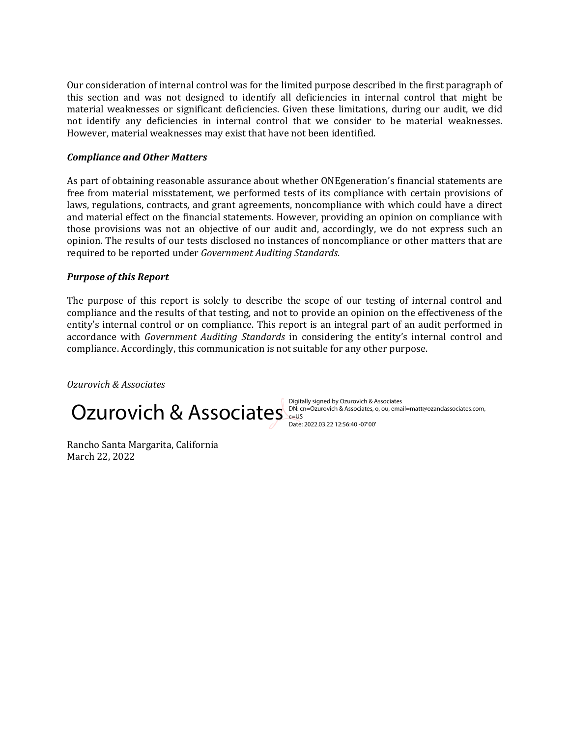Our consideration of internal control was for the limited purpose described in the first paragraph of this section and was not designed to identify all deficiencies in internal control that might be material weaknesses or significant deficiencies. Given these limitations, during our audit, we did not identify any deficiencies in internal control that we consider to be material weaknesses. However, material weaknesses may exist that have not been identified.

## *Compliance and Other Matters*

As part of obtaining reasonable assurance about whether ONEgeneration's financial statements are free from material misstatement, we performed tests of its compliance with certain provisions of laws, regulations, contracts, and grant agreements, noncompliance with which could have a direct and material effect on the financial statements. However, providing an opinion on compliance with those provisions was not an objective of our audit and, accordingly, we do not express such an opinion. The results of our tests disclosed no instances of noncompliance or other matters that are required to be reported under *Government Auditing Standards*.

## *Purpose of this Report*

The purpose of this report is solely to describe the scope of our testing of internal control and compliance and the results of that testing, and not to provide an opinion on the effectiveness of the entity's internal control or on compliance. This report is an integral part of an audit performed in accordance with *Government Auditing Standards* in considering the entity's internal control and compliance. Accordingly, this communication is not suitable for any other purpose.

*Ozurovich & Associates*

Ozurovich & Associates Digitally signed by Ozurovich & Associates<br>
Ozurovich & Associates, 0, 0u, email

DN: cn=Ozurovich & Associates, o, ou, email=matt@ozandassociates.com, c=US Date: 2022.03.22 12:56:40 -07'00'

Rancho Santa Margarita, California March 22, 2022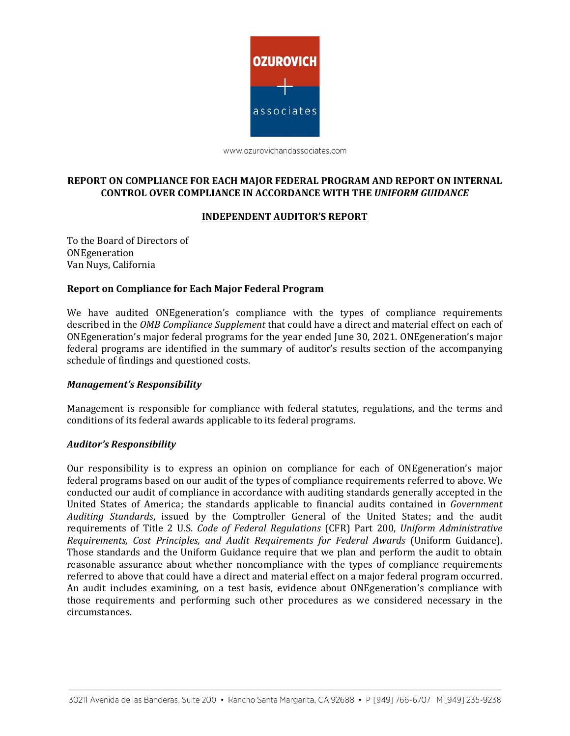

www.ozurovichandassociates.com

## **REPORT ON COMPLIANCE FOR EACH MAJOR FEDERAL PROGRAM AND REPORT ON INTERNAL CONTROL OVER COMPLIANCE IN ACCORDANCE WITH THE** *UNIFORM GUIDANCE*

## **INDEPENDENT AUDITOR'S REPORT**

To the Board of Directors of ONEgeneration Van Nuys, California

## **Report on Compliance for Each Major Federal Program**

We have audited ONEgeneration's compliance with the types of compliance requirements described in the *OMB Compliance Supplement* that could have a direct and material effect on each of ONEgeneration's major federal programs for the year ended June 30, 2021. ONEgeneration's major federal programs are identified in the summary of auditor's results section of the accompanying schedule of findings and questioned costs.

## *Management's Responsibility*

Management is responsible for compliance with federal statutes, regulations, and the terms and conditions of its federal awards applicable to its federal programs.

## *Auditor's Responsibility*

Our responsibility is to express an opinion on compliance for each of ONEgeneration's major federal programs based on our audit of the types of compliance requirements referred to above. We conducted our audit of compliance in accordance with auditing standards generally accepted in the United States of America; the standards applicable to financial audits contained in *Government Auditing Standards*, issued by the Comptroller General of the United States; and the audit requirements of Title 2 U.S. *Code of Federal Regulations* (CFR) Part 200, *Uniform Administrative Requirements, Cost Principles, and Audit Requirements for Federal Awards* (Uniform Guidance). Those standards and the Uniform Guidance require that we plan and perform the audit to obtain reasonable assurance about whether noncompliance with the types of compliance requirements referred to above that could have a direct and material effect on a major federal program occurred. An audit includes examining, on a test basis, evidence about ONEgeneration's compliance with those requirements and performing such other procedures as we considered necessary in the circumstances.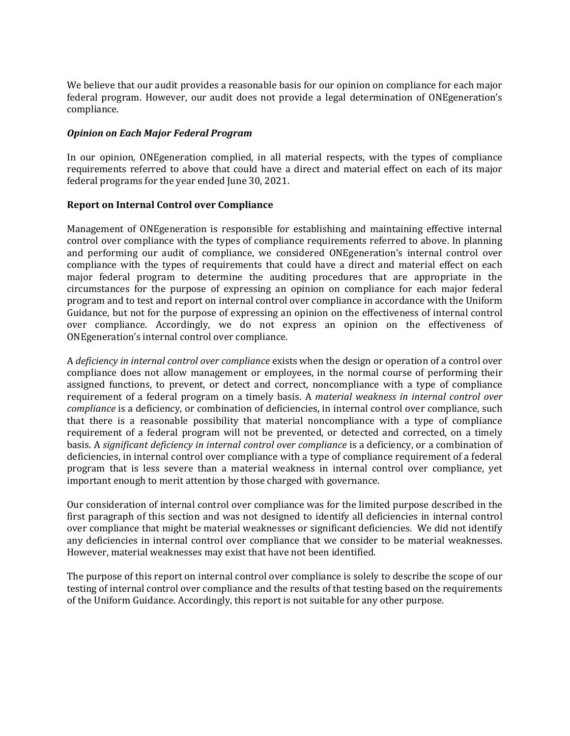We believe that our audit provides a reasonable basis for our opinion on compliance for each major federal program. However, our audit does not provide a legal determination of ONEgeneration's compliance.

## *Opinion on Each Major Federal Program*

In our opinion, ONEgeneration complied, in all material respects, with the types of compliance requirements referred to above that could have a direct and material effect on each of its major federal programs for the year ended June 30, 2021.

## **Report on Internal Control over Compliance**

Management of ONEgeneration is responsible for establishing and maintaining effective internal control over compliance with the types of compliance requirements referred to above. In planning and performing our audit of compliance, we considered ONEgeneration's internal control over compliance with the types of requirements that could have a direct and material effect on each major federal program to determine the auditing procedures that are appropriate in the circumstances for the purpose of expressing an opinion on compliance for each major federal program and to test and report on internal control over compliance in accordance with the Uniform Guidance, but not for the purpose of expressing an opinion on the effectiveness of internal control over compliance. Accordingly, we do not express an opinion on the effectiveness of ONEgeneration's internal control over compliance.

A *deficiency in internal control over compliance* exists when the design or operation of a control over compliance does not allow management or employees, in the normal course of performing their assigned functions, to prevent, or detect and correct, noncompliance with a type of compliance requirement of a federal program on a timely basis. A *material weakness in internal control over compliance* is a deficiency, or combination of deficiencies, in internal control over compliance, such that there is a reasonable possibility that material noncompliance with a type of compliance requirement of a federal program will not be prevented, or detected and corrected, on a timely basis. A *significant deficiency in internal control over compliance* is a deficiency, or a combination of deficiencies, in internal control over compliance with a type of compliance requirement of a federal program that is less severe than a material weakness in internal control over compliance, yet important enough to merit attention by those charged with governance.

Our consideration of internal control over compliance was for the limited purpose described in the first paragraph of this section and was not designed to identify all deficiencies in internal control over compliance that might be material weaknesses or significant deficiencies. We did not identify any deficiencies in internal control over compliance that we consider to be material weaknesses. However, material weaknesses may exist that have not been identified.

The purpose of this report on internal control over compliance is solely to describe the scope of our testing of internal control over compliance and the results of that testing based on the requirements of the Uniform Guidance. Accordingly, this report is not suitable for any other purpose.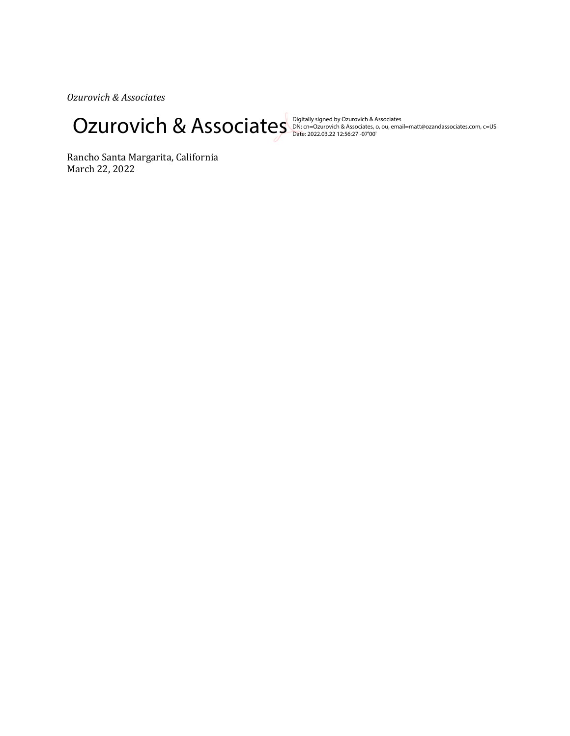*Ozurovich & Associates*

# $O$ zurovich  $\&$  Associates Digitally signed by Ozurovich & Associates (a) concert and  $\&$  Associates (a) concert and  $\&$  Associates (a) concert and  $\&$  Associates (a) concert and  $\&$  Associates (a) concert and  $\&$  A

DN: cn=Ozurovich & Associates, o, ou, email=matt@ozandassociates.com, c=US Date: 2022.03.22 12:56:27 -07'00'

Rancho Santa Margarita, California March 22, 2022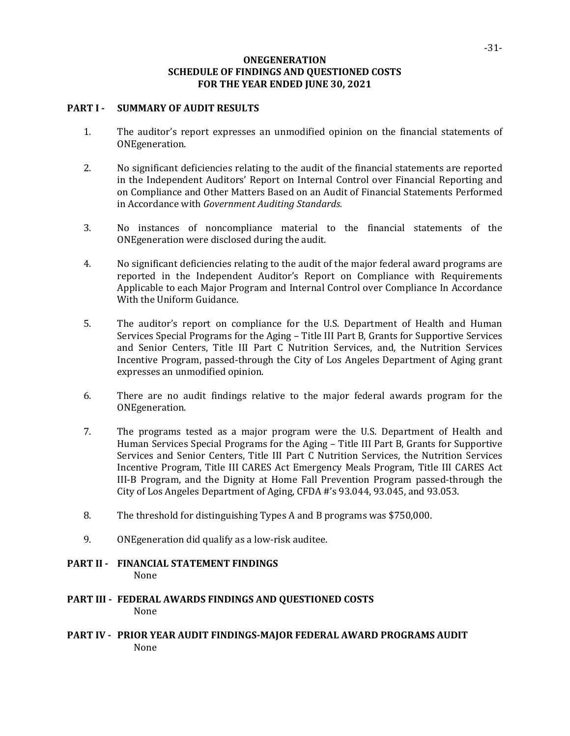## **ONEGENERATION SCHEDULE OF FINDINGS AND QUESTIONED COSTS FOR THE YEAR ENDED JUNE 30, 2021**

#### **PART I ‐ SUMMARY OF AUDIT RESULTS**

- 1. The auditor's report expresses an unmodified opinion on the financial statements of ONEgeneration.
- 2. No significant deficiencies relating to the audit of the financial statements are reported in the Independent Auditors' Report on Internal Control over Financial Reporting and on Compliance and Other Matters Based on an Audit of Financial Statements Performed in Accordance with *Government Auditing Standards.*
- 3. No instances of noncompliance material to the financial statements of the ONEgeneration were disclosed during the audit.
- 4. No significant deficiencies relating to the audit of the major federal award programs are reported in the Independent Auditor's Report on Compliance with Requirements Applicable to each Major Program and Internal Control over Compliance In Accordance With the Uniform Guidance.
- 5. The auditor's report on compliance for the U.S. Department of Health and Human Services Special Programs for the Aging – Title III Part B, Grants for Supportive Services and Senior Centers, Title III Part C Nutrition Services, and, the Nutrition Services Incentive Program, passed-through the City of Los Angeles Department of Aging grant expresses an unmodified opinion.
- 6. There are no audit findings relative to the major federal awards program for the ONEgeneration.
- 7. The programs tested as a major program were the U.S. Department of Health and Human Services Special Programs for the Aging – Title III Part B, Grants for Supportive Services and Senior Centers, Title III Part C Nutrition Services, the Nutrition Services Incentive Program, Title III CARES Act Emergency Meals Program, Title III CARES Act III-B Program, and the Dignity at Home Fall Prevention Program passed-through the City of Los Angeles Department of Aging, CFDA #'s 93.044, 93.045, and 93.053.
- 8. The threshold for distinguishing Types A and B programs was \$750,000.
- 9. ONEgeneration did qualify as a low-risk auditee.
- **PART II ‐ FINANCIAL STATEMENT FINDINGS** None

#### **PART III ‐ FEDERAL AWARDS FINDINGS AND QUESTIONED COSTS** None

**PART IV ‐ PRIOR YEAR AUDIT FINDINGS‐MAJOR FEDERAL AWARD PROGRAMS AUDIT** None